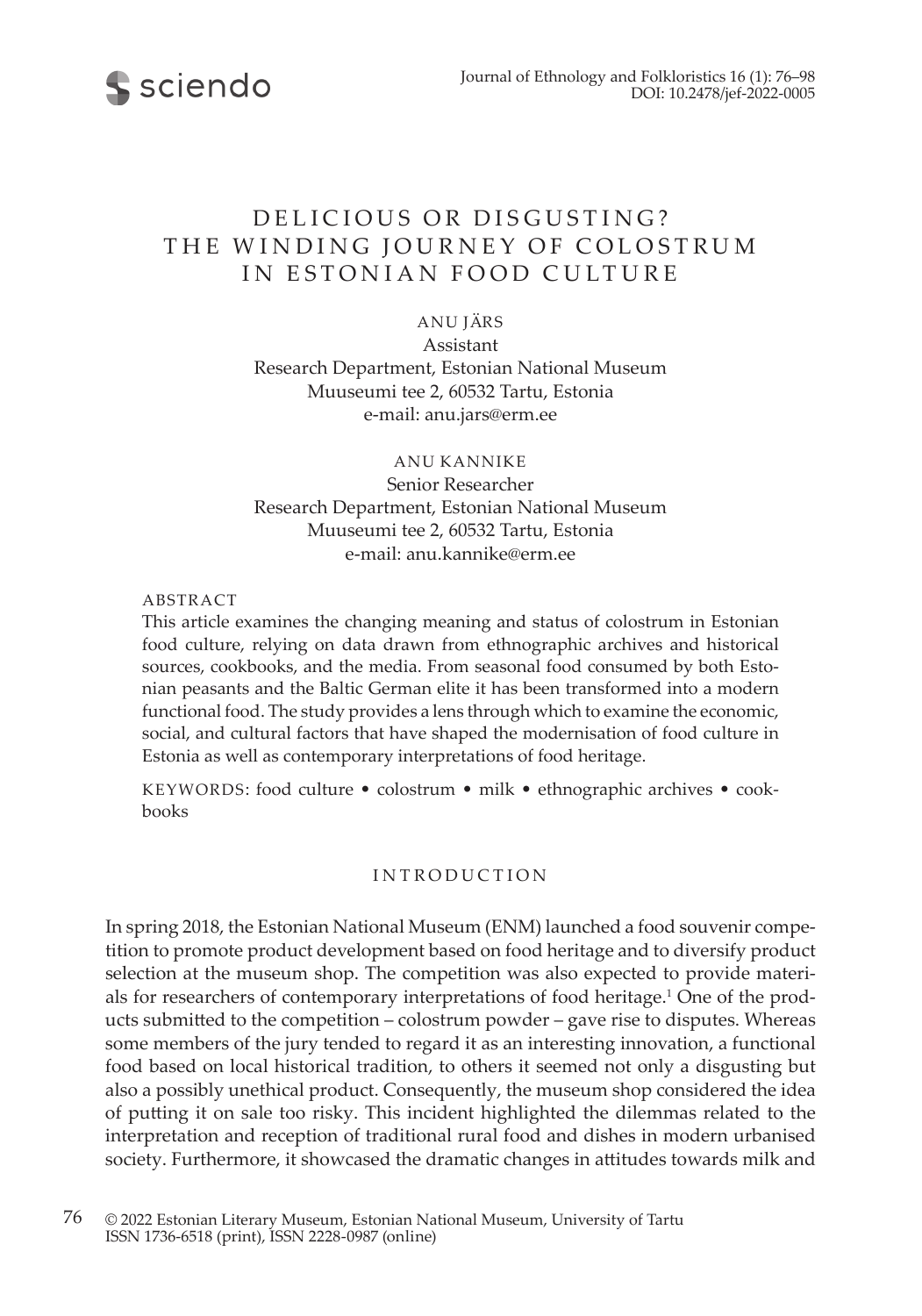

# DELICIOUS OR DISGUSTING? THE WINDING JOURNEY OF COLOSTRUM IN ESTONIAN FOOD CULTURE

ANU JÄRS

Assistant Research Department, Estonian National Museum Muuseumi tee 2, 60532 Tartu, Estonia e-mail: anu.jars@erm.ee

ANU KANNIKE Senior Researcher Research Department, Estonian National Museum Muuseumi tee 2, 60532 Tartu, Estonia e-mail: anu.kannike@erm.ee

#### ABSTRACT

This article examines the changing meaning and status of colostrum in Estonian food culture, relying on data drawn from ethnographic archives and historical sources, cookbooks, and the media. From seasonal food consumed by both Estonian peasants and the Baltic German elite it has been transformed into a modern functional food. The study provides a lens through which to examine the economic, social, and cultural factors that have shaped the modernisation of food culture in Estonia as well as contemporary interpretations of food heritage.

KEYWORDS: food culture • colostrum • milk • ethnographic archives • cookbooks

## INTRODUCTION

In spring 2018, the Estonian National Museum (ENM) launched a food souvenir competition to promote product development based on food heritage and to diversify product selection at the museum shop. The competition was also expected to provide materials for researchers of contemporary interpretations of food heritage.<sup>1</sup> One of the products submitted to the competition – colostrum powder – gave rise to disputes. Whereas some members of the jury tended to regard it as an interesting innovation, a functional food based on local historical tradition, to others it seemed not only a disgusting but also a possibly unethical product. Consequently, the museum shop considered the idea of putting it on sale too risky. This incident highlighted the dilemmas related to the interpretation and reception of traditional rural food and dishes in modern urbanised society. Furthermore, it showcased the dramatic changes in attitudes towards milk and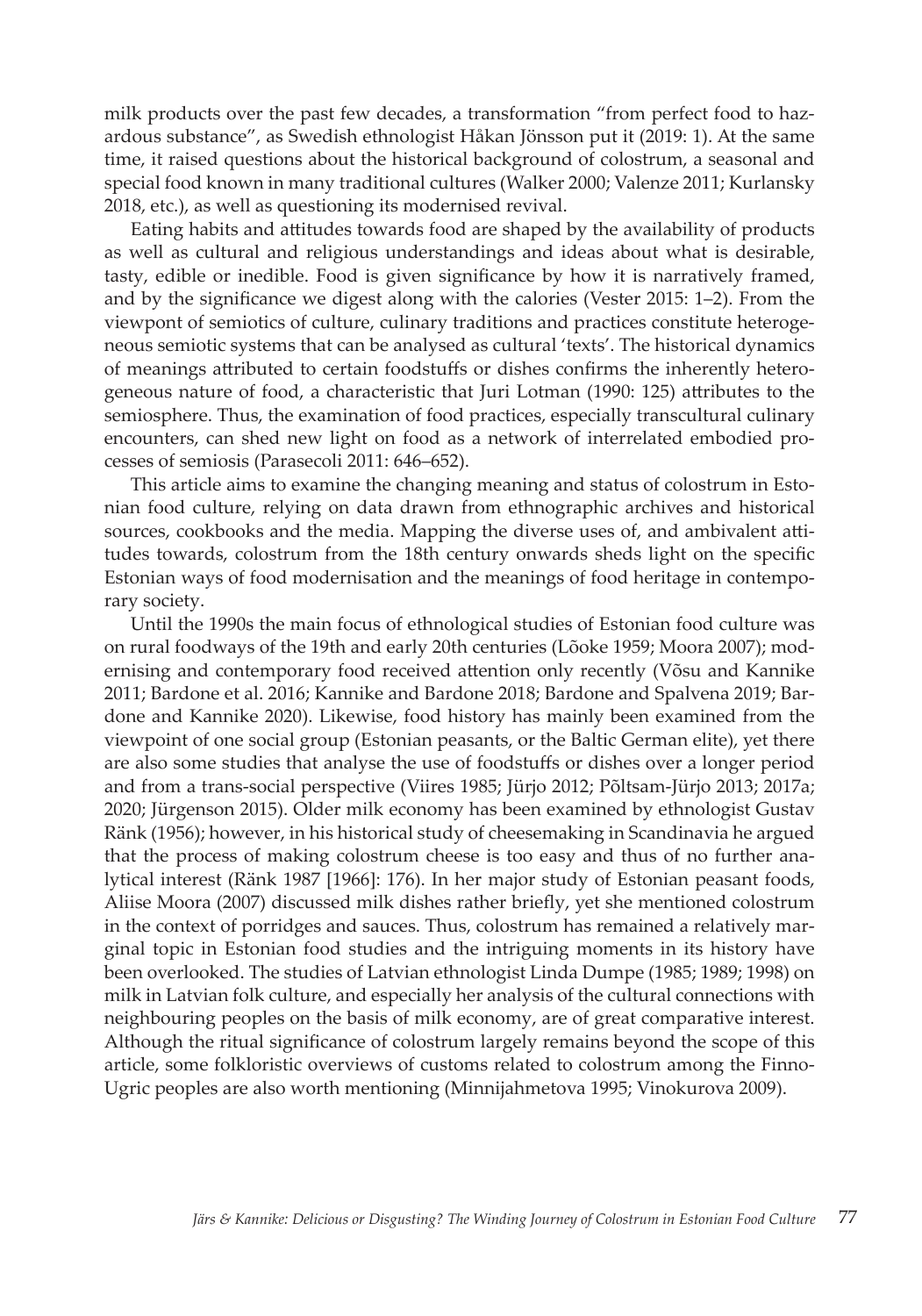milk products over the past few decades, a transformation "from perfect food to hazardous substance", as Swedish ethnologist Håkan Jönsson put it (2019: 1). At the same time, it raised questions about the historical background of colostrum, a seasonal and special food known in many traditional cultures (Walker 2000; Valenze 2011; Kurlansky 2018, etc.), as well as questioning its modernised revival.

Eating habits and attitudes towards food are shaped by the availability of products as well as cultural and religious understandings and ideas about what is desirable, tasty, edible or inedible. Food is given significance by how it is narratively framed, and by the significance we digest along with the calories (Vester 2015: 1–2). From the viewpont of semiotics of culture, culinary traditions and practices constitute heterogeneous semiotic systems that can be analysed as cultural 'texts'. The historical dynamics of meanings attributed to certain foodstuffs or dishes confirms the inherently heterogeneous nature of food, a characteristic that Juri Lotman (1990: 125) attributes to the semiosphere. Thus, the examination of food practices, especially transcultural culinary encounters, can shed new light on food as a network of interrelated embodied processes of semiosis (Parasecoli 2011: 646–652).

This article aims to examine the changing meaning and status of colostrum in Estonian food culture, relying on data drawn from ethnographic archives and historical sources, cookbooks and the media. Mapping the diverse uses of, and ambivalent attitudes towards, colostrum from the 18th century onwards sheds light on the specific Estonian ways of food modernisation and the meanings of food heritage in contemporary society.

Until the 1990s the main focus of ethnological studies of Estonian food culture was on rural foodways of the 19th and early 20th centuries (Lõoke 1959; Moora 2007); modernising and contemporary food received attention only recently (Võsu and Kannike 2011; Bardone et al. 2016; Kannike and Bardone 2018; Bardone and Spalvena 2019; Bardone and Kannike 2020). Likewise, food history has mainly been examined from the viewpoint of one social group (Estonian peasants, or the Baltic German elite), yet there are also some studies that analyse the use of foodstuffs or dishes over a longer period and from a trans-social perspective (Viires 1985; Jürjo 2012; Põltsam-Jürjo 2013; 2017a; 2020; Jürgenson 2015). Older milk economy has been examined by ethnologist Gustav Ränk (1956); however, in his historical study of cheesemaking in Scandinavia he argued that the process of making colostrum cheese is too easy and thus of no further analytical interest (Ränk 1987 [1966]: 176). In her major study of Estonian peasant foods, Aliise Moora (2007) discussed milk dishes rather briefly, yet she mentioned colostrum in the context of porridges and sauces. Thus, colostrum has remained a relatively marginal topic in Estonian food studies and the intriguing moments in its history have been overlooked. The studies of Latvian ethnologist Linda Dumpe (1985; 1989; 1998) on milk in Latvian folk culture, and especially her analysis of the cultural connections with neighbouring peoples on the basis of milk economy, are of great comparative interest. Although the ritual significance of colostrum largely remains beyond the scope of this article, some folkloristic overviews of customs related to colostrum among the Finno-Ugric peoples are also worth mentioning (Minnijahmetova 1995; Vinokurova 2009).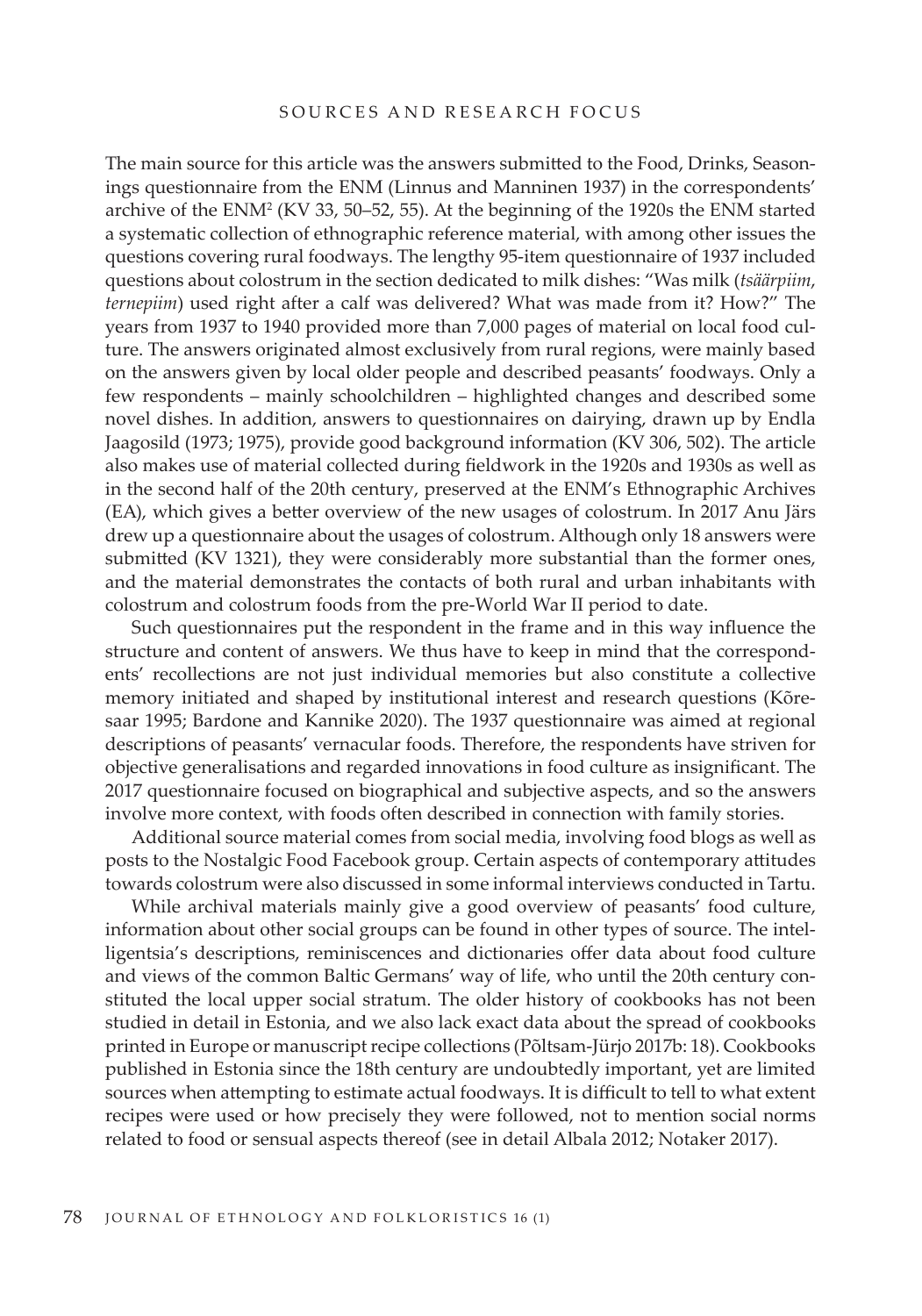## SOURCES AND RESEARCH FOCUS

The main source for this article was the answers submitted to the Food, Drinks, Seasonings questionnaire from the ENM (Linnus and Manninen 1937) in the correspondents' archive of the  $ENM<sup>2</sup>$  (KV 33, 50–52, 55). At the beginning of the 1920s the ENM started a systematic collection of ethnographic reference material, with among other issues the questions covering rural foodways. The lengthy 95-item questionnaire of 1937 included questions about colostrum in the section dedicated to milk dishes: "Was milk (*tsäärpiim*, *ternepiim*) used right after a calf was delivered? What was made from it? How?" The years from 1937 to 1940 provided more than 7,000 pages of material on local food culture. The answers originated almost exclusively from rural regions, were mainly based on the answers given by local older people and described peasants' foodways. Only a few respondents – mainly schoolchildren – highlighted changes and described some novel dishes. In addition, answers to questionnaires on dairying, drawn up by Endla Jaagosild (1973; 1975), provide good background information (KV 306, 502). The article also makes use of material collected during fieldwork in the 1920s and 1930s as well as in the second half of the 20th century, preserved at the ENM's Ethnographic Archives (EA), which gives a better overview of the new usages of colostrum. In 2017 Anu Järs drew up a questionnaire about the usages of colostrum. Although only 18 answers were submitted (KV 1321), they were considerably more substantial than the former ones, and the material demonstrates the contacts of both rural and urban inhabitants with colostrum and colostrum foods from the pre-World War II period to date.

Such questionnaires put the respondent in the frame and in this way influence the structure and content of answers. We thus have to keep in mind that the correspondents' recollections are not just individual memories but also constitute a collective memory initiated and shaped by institutional interest and research questions (Kõresaar 1995; Bardone and Kannike 2020). The 1937 questionnaire was aimed at regional descriptions of peasants' vernacular foods. Therefore, the respondents have striven for objective generalisations and regarded innovations in food culture as insignificant. The 2017 questionnaire focused on biographical and subjective aspects, and so the answers involve more context, with foods often described in connection with family stories.

Additional source material comes from social media, involving food blogs as well as posts to the Nostalgic Food Facebook group. Certain aspects of contemporary attitudes towards colostrum were also discussed in some informal interviews conducted in Tartu.

While archival materials mainly give a good overview of peasants' food culture, information about other social groups can be found in other types of source. The intelligentsia's descriptions, reminiscences and dictionaries offer data about food culture and views of the common Baltic Germans' way of life, who until the 20th century constituted the local upper social stratum. The older history of cookbooks has not been studied in detail in Estonia, and we also lack exact data about the spread of cookbooks printed in Europe or manuscript recipe collections (Põltsam-Jürjo 2017b: 18). Cookbooks published in Estonia since the 18th century are undoubtedly important, yet are limited sources when attempting to estimate actual foodways. It is difficult to tell to what extent recipes were used or how precisely they were followed, not to mention social norms related to food or sensual aspects thereof (see in detail Albala 2012; Notaker 2017).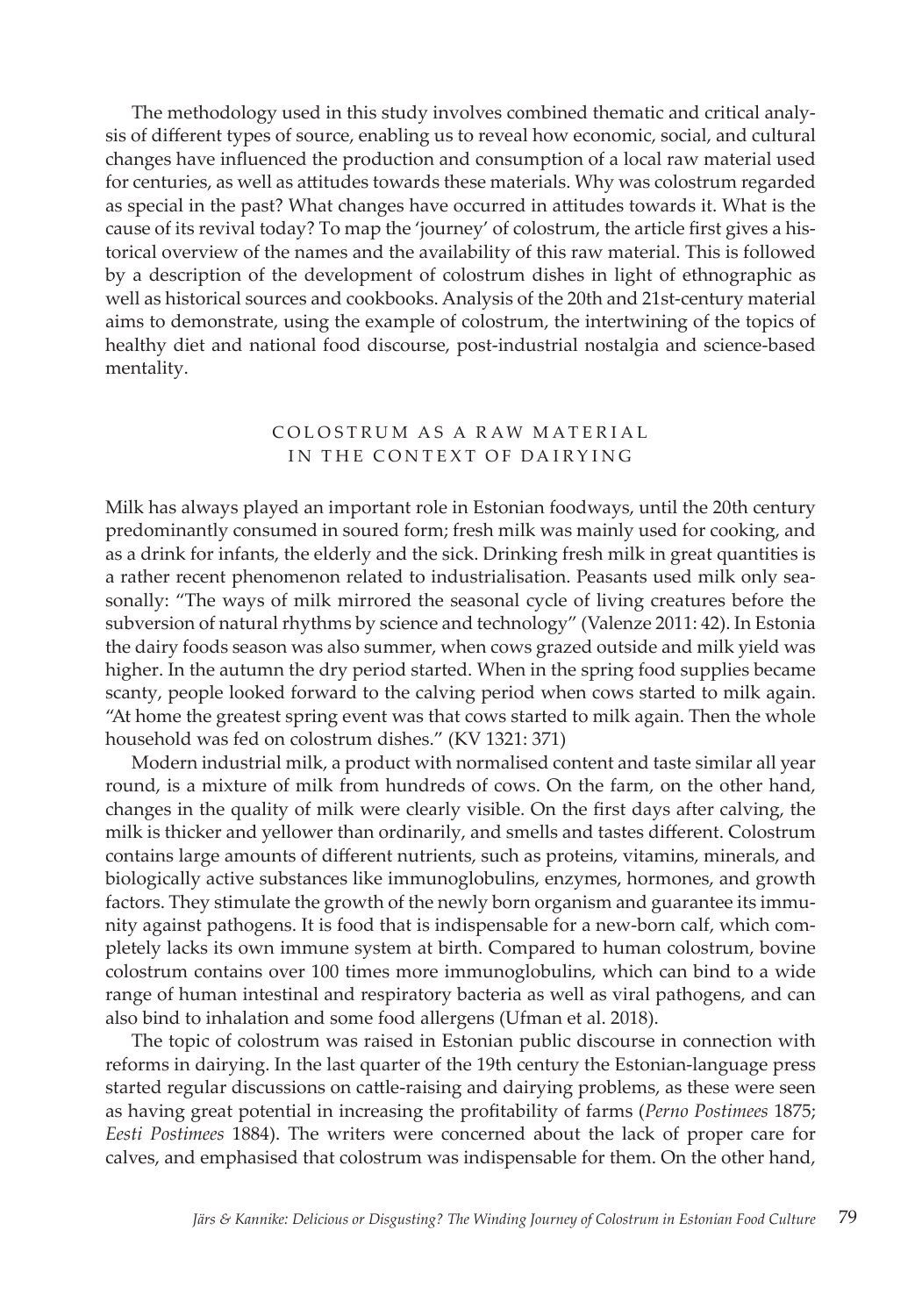The methodology used in this study involves combined thematic and critical analysis of different types of source, enabling us to reveal how economic, social, and cultural changes have influenced the production and consumption of a local raw material used for centuries, as well as attitudes towards these materials. Why was colostrum regarded as special in the past? What changes have occurred in attitudes towards it. What is the cause of its revival today? To map the 'journey' of colostrum, the article first gives a historical overview of the names and the availability of this raw material. This is followed by a description of the development of colostrum dishes in light of ethnographic as well as historical sources and cookbooks. Analysis of the 20th and 21st-century material aims to demonstrate, using the example of colostrum, the intertwining of the topics of healthy diet and national food discourse, post-industrial nostalgia and science-based mentality.

## COLOSTRUM AS A RAW MATERIAL IN THE CONTEXT OF DAIRYING

Milk has always played an important role in Estonian foodways, until the 20th century predominantly consumed in soured form; fresh milk was mainly used for cooking, and as a drink for infants, the elderly and the sick. Drinking fresh milk in great quantities is a rather recent phenomenon related to industrialisation. Peasants used milk only seasonally: "The ways of milk mirrored the seasonal cycle of living creatures before the subversion of natural rhythms by science and technology" (Valenze 2011: 42). In Estonia the dairy foods season was also summer, when cows grazed outside and milk yield was higher. In the autumn the dry period started. When in the spring food supplies became scanty, people looked forward to the calving period when cows started to milk again. "At home the greatest spring event was that cows started to milk again. Then the whole household was fed on colostrum dishes." (KV 1321: 371)

Modern industrial milk, a product with normalised content and taste similar all year round, is a mixture of milk from hundreds of cows. On the farm, on the other hand, changes in the quality of milk were clearly visible. On the first days after calving, the milk is thicker and yellower than ordinarily, and smells and tastes different. Colostrum contains large amounts of different nutrients, such as proteins, vitamins, minerals, and biologically active substances like immunoglobulins, enzymes, hormones, and growth factors. They stimulate the growth of the newly born organism and guarantee its immunity against pathogens. It is food that is indispensable for a new-born calf, which completely lacks its own immune system at birth. Compared to human colostrum, bovine colostrum contains over 100 times more immunoglobulins, which can bind to a wide range of human intestinal and respiratory bacteria as well as viral pathogens, and can also bind to inhalation and some food allergens (Ufman et al. 2018).

The topic of colostrum was raised in Estonian public discourse in connection with reforms in dairying. In the last quarter of the 19th century the Estonian-language press started regular discussions on cattle-raising and dairying problems, as these were seen as having great potential in increasing the profitability of farms (*Perno Postimees* 1875; *Eesti Postimees* 1884). The writers were concerned about the lack of proper care for calves, and emphasised that colostrum was indispensable for them. On the other hand,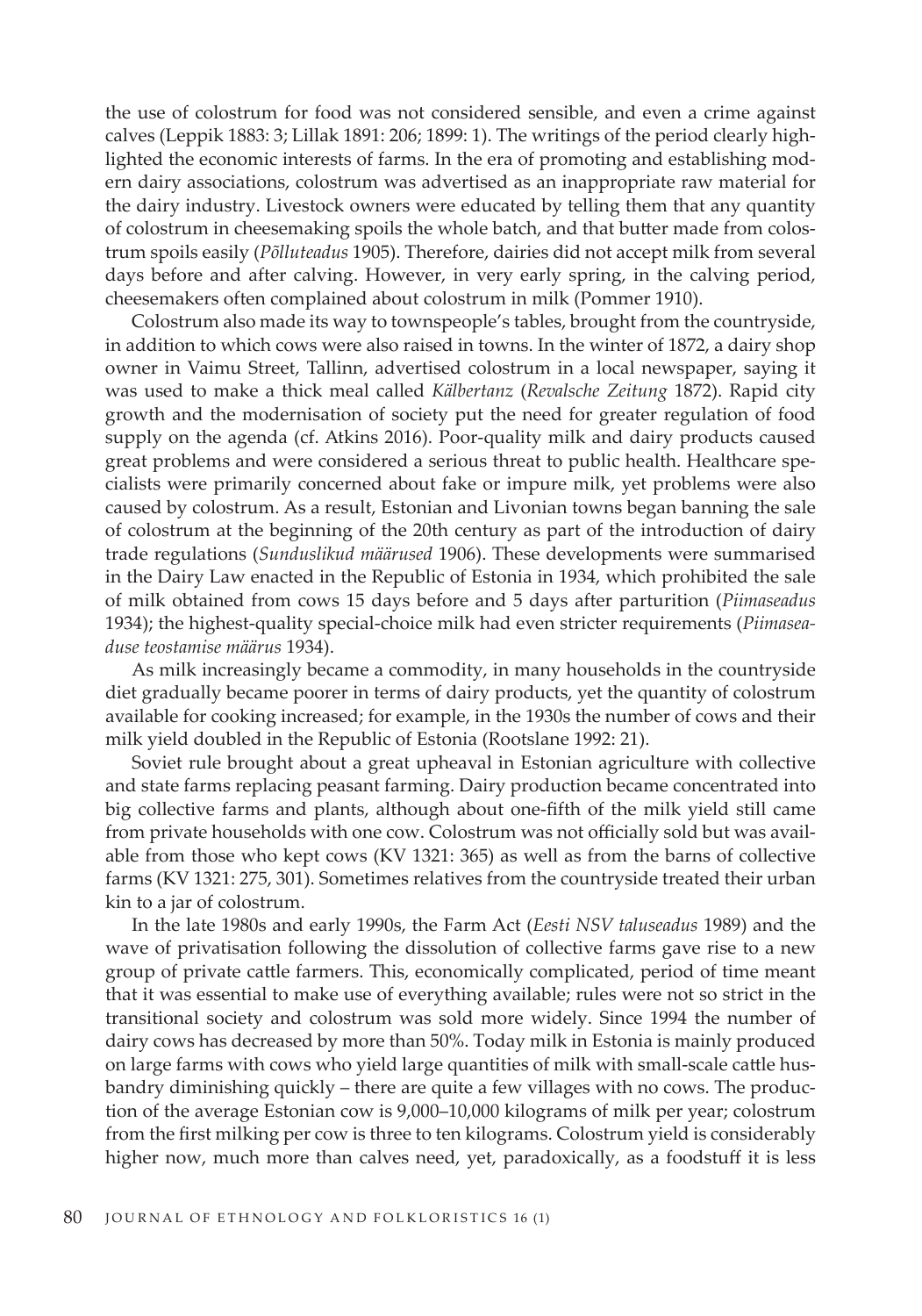the use of colostrum for food was not considered sensible, and even a crime against calves (Leppik 1883: 3; Lillak 1891: 206; 1899: 1). The writings of the period clearly highlighted the economic interests of farms. In the era of promoting and establishing modern dairy associations, colostrum was advertised as an inappropriate raw material for the dairy industry. Livestock owners were educated by telling them that any quantity of colostrum in cheesemaking spoils the whole batch, and that butter made from colostrum spoils easily (*Põlluteadus* 1905). Therefore, dairies did not accept milk from several days before and after calving. However, in very early spring, in the calving period, cheesemakers often complained about colostrum in milk (Pommer 1910).

Colostrum also made its way to townspeople's tables, brought from the countryside, in addition to which cows were also raised in towns. In the winter of 1872, a dairy shop owner in Vaimu Street, Tallinn, advertised colostrum in a local newspaper, saying it was used to make a thick meal called *Kälbertanz* (*Revalsche Zeitung* 1872). Rapid city growth and the modernisation of society put the need for greater regulation of food supply on the agenda (cf. Atkins 2016). Poor-quality milk and dairy products caused great problems and were considered a serious threat to public health. Healthcare specialists were primarily concerned about fake or impure milk, yet problems were also caused by colostrum. As a result, Estonian and Livonian towns began banning the sale of colostrum at the beginning of the 20th century as part of the introduction of dairy trade regulations (*Sunduslikud määrused* 1906). These developments were summarised in the Dairy Law enacted in the Republic of Estonia in 1934, which prohibited the sale of milk obtained from cows 15 days before and 5 days after parturition (*Piimaseadus* 1934); the highest-quality special-choice milk had even stricter requirements (*Piimaseaduse teostamise määrus* 1934).

As milk increasingly became a commodity, in many households in the countryside diet gradually became poorer in terms of dairy products, yet the quantity of colostrum available for cooking increased; for example, in the 1930s the number of cows and their milk yield doubled in the Republic of Estonia (Rootslane 1992: 21).

Soviet rule brought about a great upheaval in Estonian agriculture with collective and state farms replacing peasant farming. Dairy production became concentrated into big collective farms and plants, although about one-fifth of the milk yield still came from private households with one cow. Colostrum was not officially sold but was available from those who kept cows (KV 1321: 365) as well as from the barns of collective farms (KV 1321: 275, 301). Sometimes relatives from the countryside treated their urban kin to a jar of colostrum.

In the late 1980s and early 1990s, the Farm Act (*Eesti NSV taluseadus* 1989) and the wave of privatisation following the dissolution of collective farms gave rise to a new group of private cattle farmers. This, economically complicated, period of time meant that it was essential to make use of everything available; rules were not so strict in the transitional society and colostrum was sold more widely. Since 1994 the number of dairy cows has decreased by more than 50%. Today milk in Estonia is mainly produced on large farms with cows who yield large quantities of milk with small-scale cattle husbandry diminishing quickly – there are quite a few villages with no cows. The production of the average Estonian cow is 9,000–10,000 kilograms of milk per year; colostrum from the first milking per cow is three to ten kilograms. Colostrum yield is considerably higher now, much more than calves need, yet, paradoxically, as a foodstuff it is less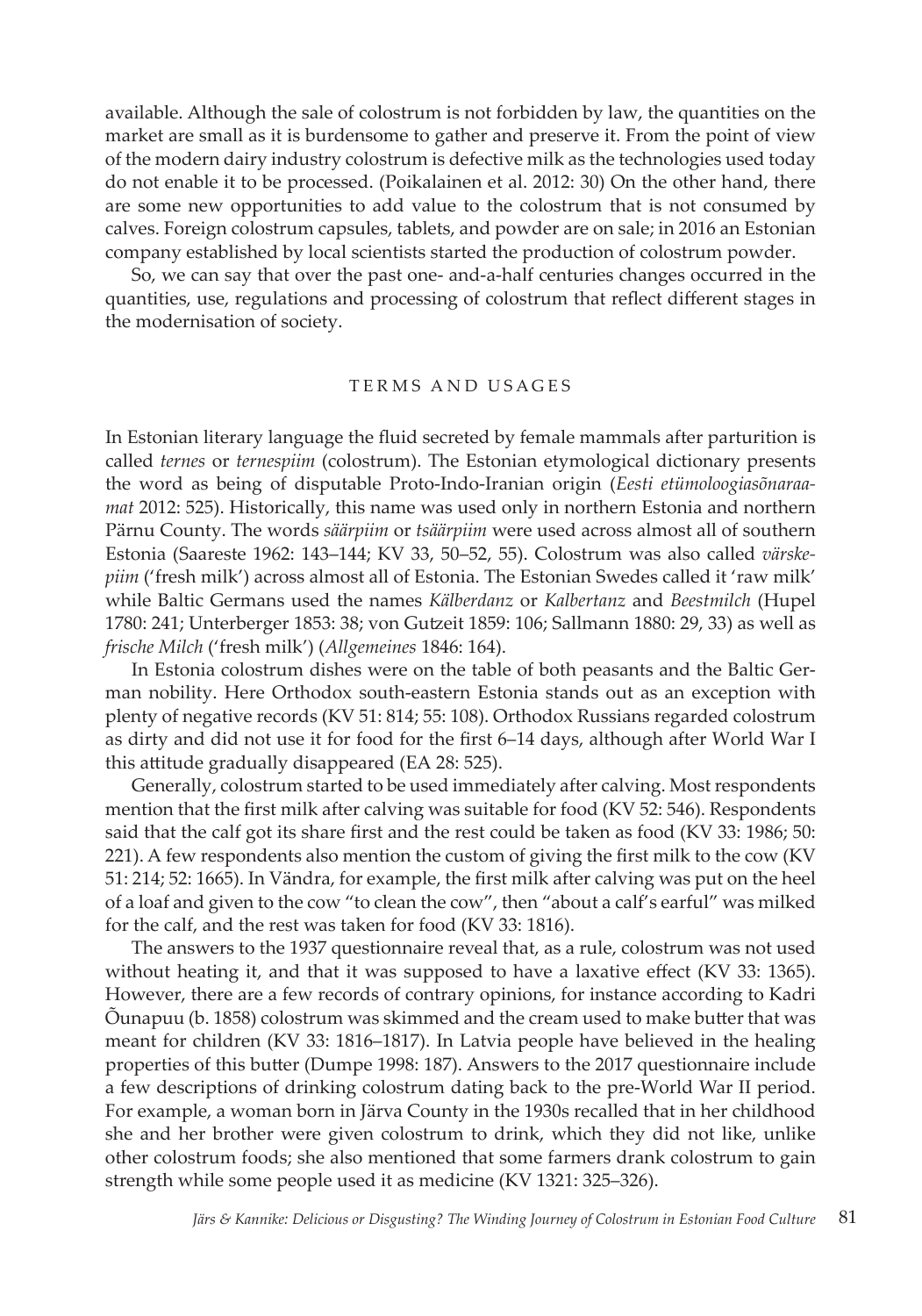available. Although the sale of colostrum is not forbidden by law, the quantities on the market are small as it is burdensome to gather and preserve it. From the point of view of the modern dairy industry colostrum is defective milk as the technologies used today do not enable it to be processed. (Poikalainen et al. 2012: 30) On the other hand, there are some new opportunities to add value to the colostrum that is not consumed by calves. Foreign colostrum capsules, tablets, and powder are on sale; in 2016 an Estonian company established by local scientists started the production of colostrum powder.

So, we can say that over the past one- and-a-half centuries changes occurred in the quantities, use, regulations and processing of colostrum that reflect different stages in the modernisation of society.

### TERMS AND USAGES

In Estonian literary language the fluid secreted by female mammals after parturition is called *ternes* or *ternespiim* (colostrum). The Estonian etymological dictionary presents the word as being of disputable Proto-Indo-Iranian origin (*Eesti etümoloogiasõnaraamat* 2012: 525). Historically, this name was used only in northern Estonia and northern Pärnu County. The words *säärpiim* or *tsäärpiim* were used across almost all of southern Estonia (Saareste 1962: 143–144; KV 33, 50–52, 55). Colostrum was also called *värskepiim* ('fresh milk') across almost all of Estonia. The Estonian Swedes called it 'raw milk' while Baltic Germans used the names *Kälberdanz* or *Kalbertanz* and *Beestmilch* (Hupel 1780: 241; Unterberger 1853: 38; von Gutzeit 1859: 106; Sallmann 1880: 29, 33) as well as *frische Milch* ('fresh milk') (*Allgemeines* 1846: 164).

In Estonia colostrum dishes were on the table of both peasants and the Baltic German nobility. Here Orthodox south-eastern Estonia stands out as an exception with plenty of negative records (KV 51: 814; 55: 108). Orthodox Russians regarded colostrum as dirty and did not use it for food for the first 6–14 days, although after World War I this attitude gradually disappeared (EA 28: 525).

Generally, colostrum started to be used immediately after calving. Most respondents mention that the first milk after calving was suitable for food (KV 52: 546). Respondents said that the calf got its share first and the rest could be taken as food (KV 33: 1986; 50: 221). A few respondents also mention the custom of giving the first milk to the cow (KV 51: 214; 52: 1665). In Vändra, for example, the first milk after calving was put on the heel of a loaf and given to the cow "to clean the cow", then "about a calf's earful" was milked for the calf, and the rest was taken for food (KV 33: 1816).

The answers to the 1937 questionnaire reveal that, as a rule, colostrum was not used without heating it, and that it was supposed to have a laxative effect (KV 33: 1365). However, there are a few records of contrary opinions, for instance according to Kadri Õunapuu (b. 1858) colostrum was skimmed and the cream used to make butter that was meant for children (KV 33: 1816–1817). In Latvia people have believed in the healing properties of this butter (Dumpe 1998: 187). Answers to the 2017 questionnaire include a few descriptions of drinking colostrum dating back to the pre-World War II period. For example, a woman born in Järva County in the 1930s recalled that in her childhood she and her brother were given colostrum to drink, which they did not like, unlike other colostrum foods; she also mentioned that some farmers drank colostrum to gain strength while some people used it as medicine (KV 1321: 325–326).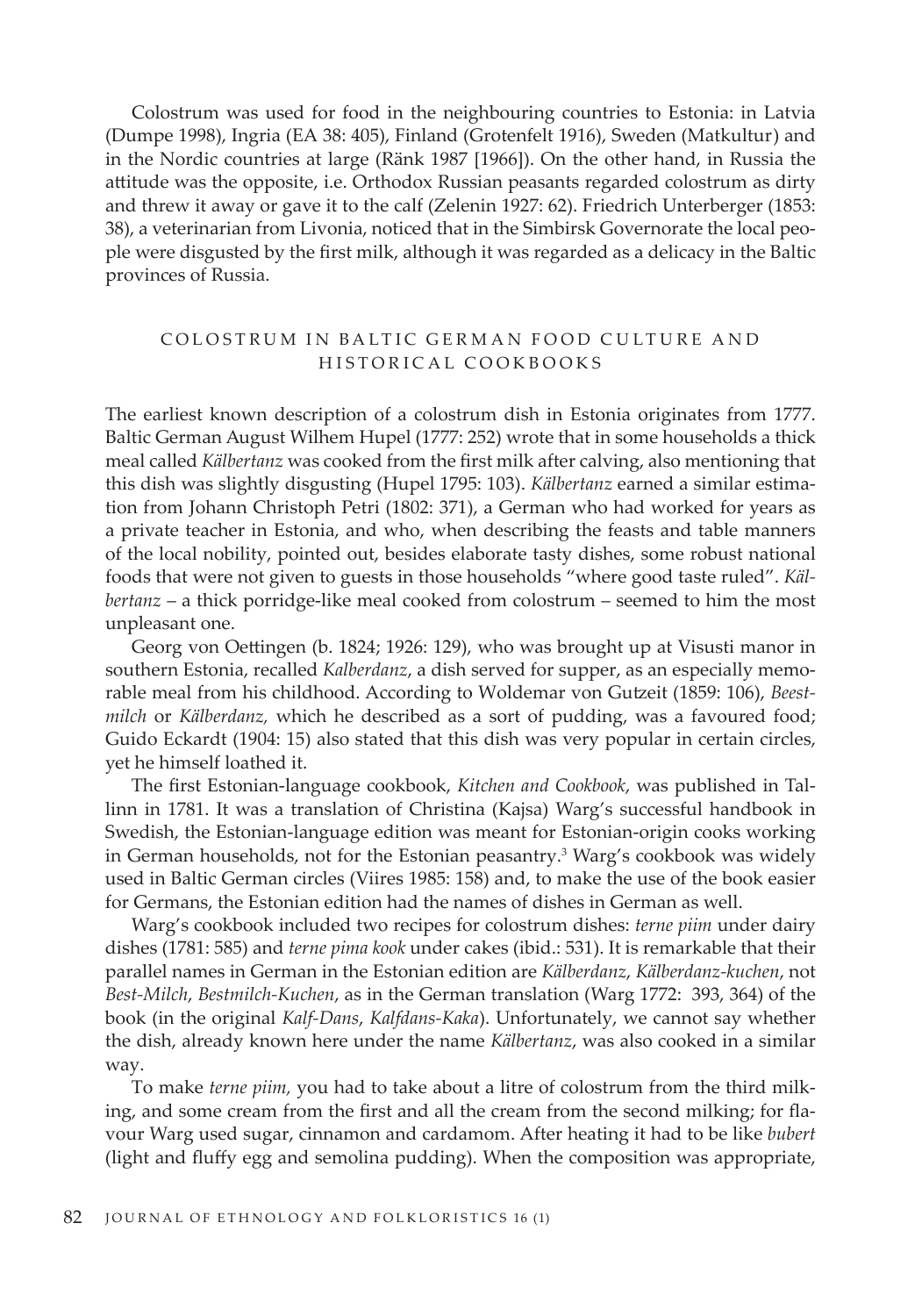Colostrum was used for food in the neighbouring countries to Estonia: in Latvia (Dumpe 1998), Ingria (EA 38: 405), Finland (Grotenfelt 1916), Sweden (Matkultur) and in the Nordic countries at large (Ränk 1987 [1966]). On the other hand, in Russia the attitude was the opposite, i.e. Orthodox Russian peasants regarded colostrum as dirty and threw it away or gave it to the calf (Zelenin 1927: 62). Friedrich Unterberger (1853: 38), a veterinarian from Livonia, noticed that in the Simbirsk Governorate the local people were disgusted by the first milk, although it was regarded as a delicacy in the Baltic provinces of Russia.

# COLOSTRUM IN BALTIC GERMAN FOOD CULTURE AND HISTORICAL COOKBOOKS

The earliest known description of a colostrum dish in Estonia originates from 1777. Baltic German August Wilhem Hupel (1777: 252) wrote that in some households a thick meal called *Kälbertanz* was cooked from the first milk after calving, also mentioning that this dish was slightly disgusting (Hupel 1795: 103). *Kälbertanz* earned a similar estimation from Johann Christoph Petri (1802: 371), a German who had worked for years as a private teacher in Estonia, and who, when describing the feasts and table manners of the local nobility, pointed out, besides elaborate tasty dishes, some robust national foods that were not given to guests in those households "where good taste ruled". *Kälbertanz* – a thick porridge-like meal cooked from colostrum – seemed to him the most unpleasant one.

Georg von Oettingen (b. 1824; 1926: 129), who was brought up at Visusti manor in southern Estonia, recalled *Kalberdanz*, a dish served for supper, as an especially memorable meal from his childhood. According to Woldemar von Gutzeit (1859: 106), *Beestmilch* or *Kälberdanz,* which he described as a sort of pudding, was a favoured food; Guido Eckardt (1904: 15) also stated that this dish was very popular in certain circles, yet he himself loathed it.

The first Estonian-language cookbook, *Kitchen and Cookbook*, was published in Tallinn in 1781. It was a translation of Christina (Kajsa) Warg's successful handbook in Swedish, the Estonian-language edition was meant for Estonian-origin cooks working in German households, not for the Estonian peasantry.<sup>3</sup> Warg's cookbook was widely used in Baltic German circles (Viires 1985: 158) and, to make the use of the book easier for Germans, the Estonian edition had the names of dishes in German as well.

Warg's cookbook included two recipes for colostrum dishes: *terne piim* under dairy dishes (1781: 585) and *terne pima kook* under cakes (ibid.: 531). It is remarkable that their parallel names in German in the Estonian edition are *Kälberdanz*, *Kälberdanz-kuchen*, not *Best-Milch*, *Bestmilch-Kuchen*, as in the German translation (Warg 1772: 393, 364) of the book (in the original *Kalf-Dans*, *Kalfdans-Kaka*). Unfortunately, we cannot say whether the dish, already known here under the name *Kälbertanz*, was also cooked in a similar way.

To make *terne piim,* you had to take about a litre of colostrum from the third milking, and some cream from the first and all the cream from the second milking; for flavour Warg used sugar, cinnamon and cardamom. After heating it had to be like *bubert* (light and fluffy egg and semolina pudding). When the composition was appropriate,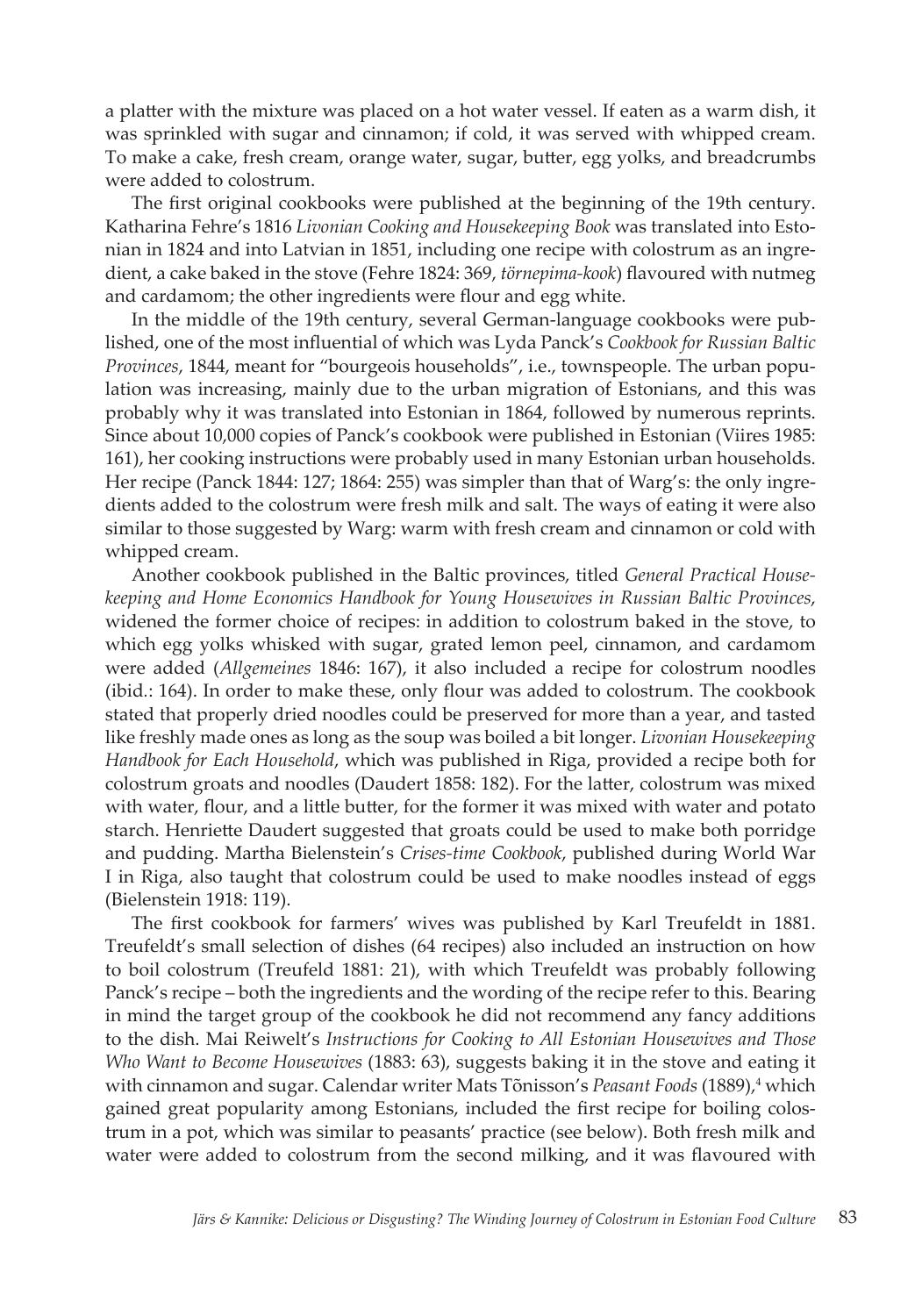a platter with the mixture was placed on a hot water vessel. If eaten as a warm dish, it was sprinkled with sugar and cinnamon; if cold, it was served with whipped cream. To make a cake, fresh cream, orange water, sugar, butter, egg yolks, and breadcrumbs were added to colostrum.

The first original cookbooks were published at the beginning of the 19th century. Katharina Fehre's 1816 *Livonian Cooking and Housekeeping Book* was translated into Estonian in 1824 and into Latvian in 1851, including one recipe with colostrum as an ingredient, a cake baked in the stove (Fehre 1824: 369, *törnepima-kook*) flavoured with nutmeg and cardamom; the other ingredients were flour and egg white.

In the middle of the 19th century, several German-language cookbooks were published, one of the most influential of which was Lyda Panck's *Cookbook for Russian Baltic Provinces*, 1844, meant for "bourgeois households", i.e., townspeople. The urban population was increasing, mainly due to the urban migration of Estonians, and this was probably why it was translated into Estonian in 1864, followed by numerous reprints. Since about 10,000 copies of Panck's cookbook were published in Estonian (Viires 1985: 161), her cooking instructions were probably used in many Estonian urban households. Her recipe (Panck 1844: 127; 1864: 255) was simpler than that of Warg's: the only ingredients added to the colostrum were fresh milk and salt. The ways of eating it were also similar to those suggested by Warg: warm with fresh cream and cinnamon or cold with whipped cream.

Another cookbook published in the Baltic provinces, titled *General Practical Housekeeping and Home Economics Handbook for Young Housewives in Russian Baltic Provinces*, widened the former choice of recipes: in addition to colostrum baked in the stove, to which egg yolks whisked with sugar, grated lemon peel, cinnamon, and cardamom were added (*Allgemeines* 1846: 167), it also included a recipe for colostrum noodles (ibid*.*: 164). In order to make these, only flour was added to colostrum. The cookbook stated that properly dried noodles could be preserved for more than a year, and tasted like freshly made ones as long as the soup was boiled a bit longer. *Livonian Housekeeping Handbook for Each Household*, which was published in Riga, provided a recipe both for colostrum groats and noodles (Daudert 1858: 182). For the latter, colostrum was mixed with water, flour, and a little butter, for the former it was mixed with water and potato starch. Henriette Daudert suggested that groats could be used to make both porridge and pudding. Martha Bielenstein's *Crises-time Cookbook*, published during World War I in Riga, also taught that colostrum could be used to make noodles instead of eggs (Bielenstein 1918: 119).

The first cookbook for farmers' wives was published by Karl Treufeldt in 1881. Treufeldt's small selection of dishes (64 recipes) also included an instruction on how to boil colostrum (Treufeld 1881: 21), with which Treufeldt was probably following Panck's recipe – both the ingredients and the wording of the recipe refer to this. Bearing in mind the target group of the cookbook he did not recommend any fancy additions to the dish. Mai Reiwelt's *Instructions for Cooking to All Estonian Housewives and Those Who Want to Become Housewives* (1883: 63), suggests baking it in the stove and eating it with cinnamon and sugar. Calendar writer Mats Tõnisson's *Peasant Foods* (1889),<sup>4</sup> which gained great popularity among Estonians, included the first recipe for boiling colostrum in a pot, which was similar to peasants' practice (see below). Both fresh milk and water were added to colostrum from the second milking, and it was flavoured with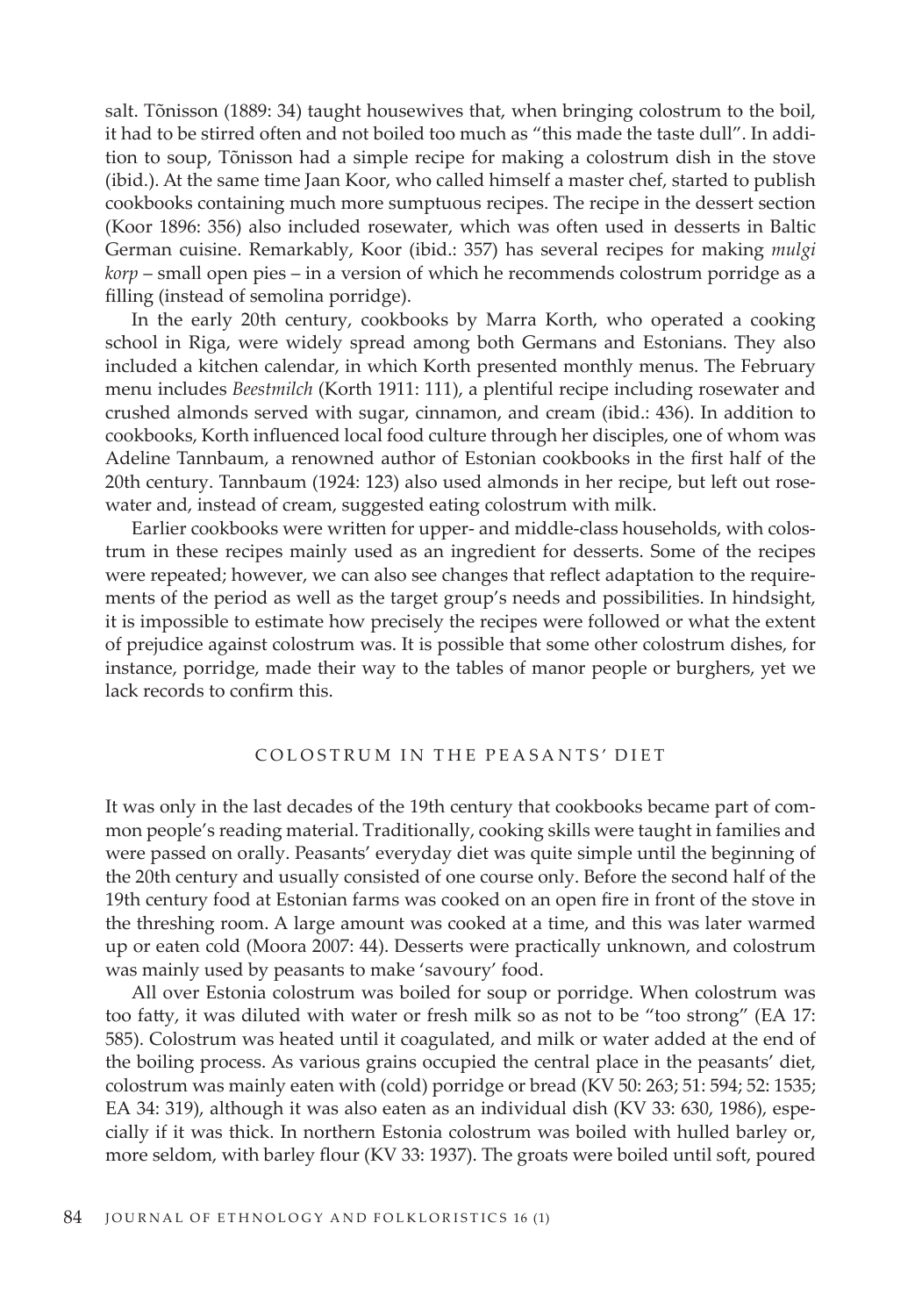salt. Tõnisson (1889: 34) taught housewives that, when bringing colostrum to the boil, it had to be stirred often and not boiled too much as "this made the taste dull". In addition to soup, Tõnisson had a simple recipe for making a colostrum dish in the stove (ibid.). At the same time Jaan Koor, who called himself a master chef, started to publish cookbooks containing much more sumptuous recipes. The recipe in the dessert section (Koor 1896: 356) also included rosewater, which was often used in desserts in Baltic German cuisine. Remarkably, Koor (ibid.: 357) has several recipes for making *mulgi korp* – small open pies – in a version of which he recommends colostrum porridge as a filling (instead of semolina porridge).

In the early 20th century, cookbooks by Marra Korth, who operated a cooking school in Riga, were widely spread among both Germans and Estonians. They also included a kitchen calendar, in which Korth presented monthly menus. The February menu includes *Beestmilch* (Korth 1911: 111), a plentiful recipe including rosewater and crushed almonds served with sugar, cinnamon, and cream (ibid.: 436). In addition to cookbooks, Korth influenced local food culture through her disciples, one of whom was Adeline Tannbaum, a renowned author of Estonian cookbooks in the first half of the 20th century. Tannbaum (1924: 123) also used almonds in her recipe, but left out rosewater and, instead of cream, suggested eating colostrum with milk.

Earlier cookbooks were written for upper- and middle-class households, with colostrum in these recipes mainly used as an ingredient for desserts. Some of the recipes were repeated; however, we can also see changes that reflect adaptation to the requirements of the period as well as the target group's needs and possibilities. In hindsight, it is impossible to estimate how precisely the recipes were followed or what the extent of prejudice against colostrum was. It is possible that some other colostrum dishes, for instance, porridge, made their way to the tables of manor people or burghers, yet we lack records to confirm this.

#### COLOSTRUM IN THE PEASANTS' DIET

It was only in the last decades of the 19th century that cookbooks became part of common people's reading material. Traditionally, cooking skills were taught in families and were passed on orally. Peasants' everyday diet was quite simple until the beginning of the 20th century and usually consisted of one course only. Before the second half of the 19th century food at Estonian farms was cooked on an open fire in front of the stove in the threshing room. A large amount was cooked at a time, and this was later warmed up or eaten cold (Moora 2007: 44). Desserts were practically unknown, and colostrum was mainly used by peasants to make 'savoury' food.

All over Estonia colostrum was boiled for soup or porridge. When colostrum was too fatty, it was diluted with water or fresh milk so as not to be "too strong" (EA 17: 585). Colostrum was heated until it coagulated, and milk or water added at the end of the boiling process. As various grains occupied the central place in the peasants' diet, colostrum was mainly eaten with (cold) porridge or bread (KV 50: 263; 51: 594; 52: 1535; EA 34: 319), although it was also eaten as an individual dish (KV 33: 630, 1986), especially if it was thick. In northern Estonia colostrum was boiled with hulled barley or, more seldom, with barley flour (KV 33: 1937). The groats were boiled until soft, poured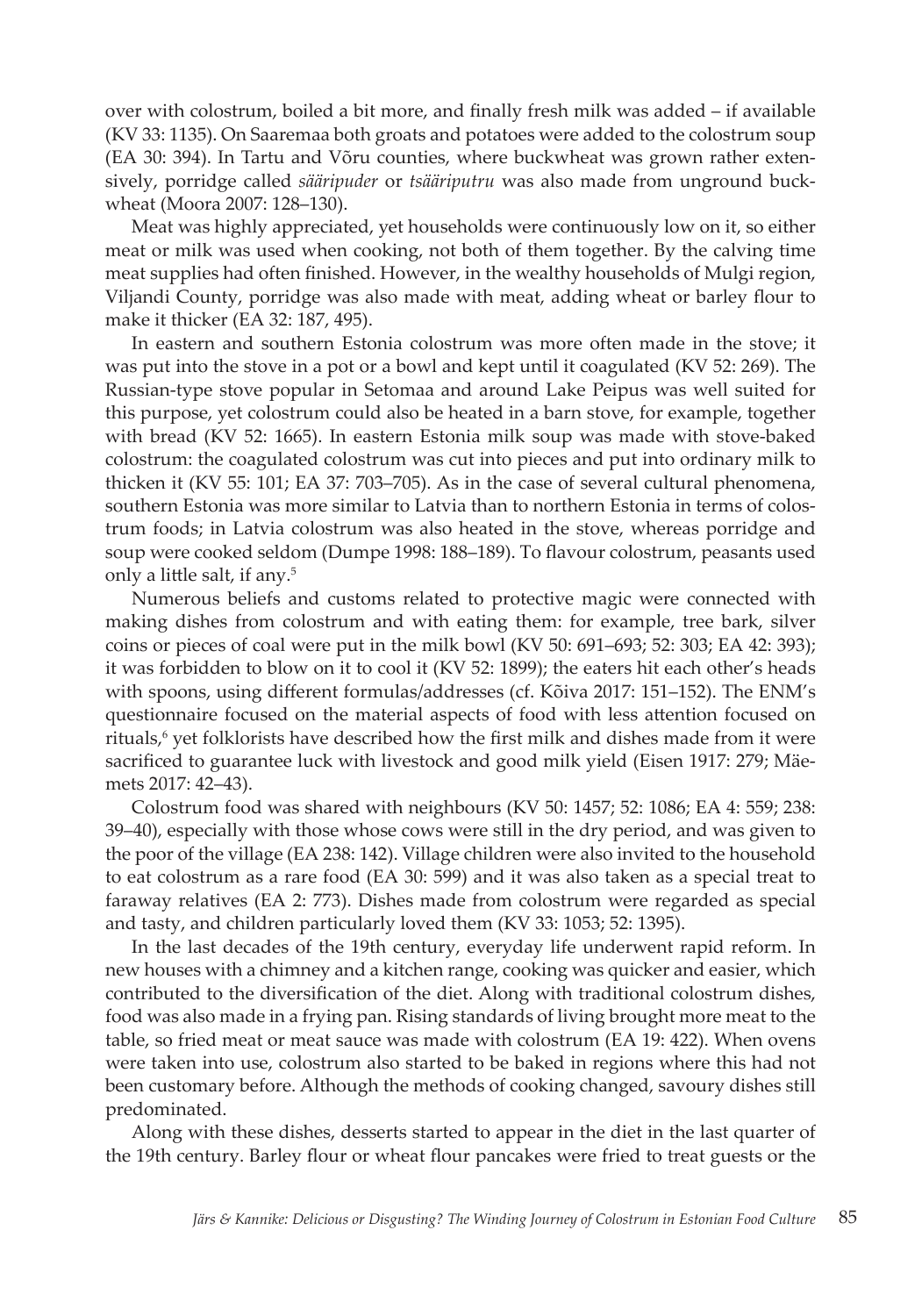over with colostrum, boiled a bit more, and finally fresh milk was added – if available (KV 33: 1135). On Saaremaa both groats and potatoes were added to the colostrum soup (EA 30: 394). In Tartu and Võru counties, where buckwheat was grown rather extensively, porridge called *sääripuder* or *tsääriputru* was also made from unground buckwheat (Moora 2007: 128–130).

Meat was highly appreciated, yet households were continuously low on it, so either meat or milk was used when cooking, not both of them together. By the calving time meat supplies had often finished. However, in the wealthy households of Mulgi region, Viljandi County, porridge was also made with meat, adding wheat or barley flour to make it thicker (EA 32: 187, 495).

In eastern and southern Estonia colostrum was more often made in the stove; it was put into the stove in a pot or a bowl and kept until it coagulated (KV 52: 269). The Russian-type stove popular in Setomaa and around Lake Peipus was well suited for this purpose, yet colostrum could also be heated in a barn stove, for example, together with bread (KV 52: 1665). In eastern Estonia milk soup was made with stove-baked colostrum: the coagulated colostrum was cut into pieces and put into ordinary milk to thicken it (KV 55: 101; EA 37: 703–705). As in the case of several cultural phenomena, southern Estonia was more similar to Latvia than to northern Estonia in terms of colostrum foods; in Latvia colostrum was also heated in the stove, whereas porridge and soup were cooked seldom (Dumpe 1998: 188–189). To flavour colostrum, peasants used only a little salt, if any.<sup>5</sup>

Numerous beliefs and customs related to protective magic were connected with making dishes from colostrum and with eating them: for example, tree bark, silver coins or pieces of coal were put in the milk bowl (KV 50: 691–693; 52: 303; EA 42: 393); it was forbidden to blow on it to cool it (KV 52: 1899); the eaters hit each other's heads with spoons, using different formulas/addresses (cf. Kõiva 2017: 151–152). The ENM's questionnaire focused on the material aspects of food with less attention focused on rituals,<sup>6</sup> yet folklorists have described how the first milk and dishes made from it were sacrificed to guarantee luck with livestock and good milk yield (Eisen 1917: 279; Mäemets 2017: 42–43).

Colostrum food was shared with neighbours (KV 50: 1457; 52: 1086; EA 4: 559; 238: 39–40), especially with those whose cows were still in the dry period, and was given to the poor of the village (EA 238: 142). Village children were also invited to the household to eat colostrum as a rare food (EA 30: 599) and it was also taken as a special treat to faraway relatives (EA 2: 773). Dishes made from colostrum were regarded as special and tasty, and children particularly loved them (KV 33: 1053; 52: 1395).

In the last decades of the 19th century, everyday life underwent rapid reform. In new houses with a chimney and a kitchen range, cooking was quicker and easier, which contributed to the diversification of the diet. Along with traditional colostrum dishes, food was also made in a frying pan. Rising standards of living brought more meat to the table, so fried meat or meat sauce was made with colostrum (EA 19: 422). When ovens were taken into use, colostrum also started to be baked in regions where this had not been customary before. Although the methods of cooking changed, savoury dishes still predominated.

Along with these dishes, desserts started to appear in the diet in the last quarter of the 19th century. Barley flour or wheat flour pancakes were fried to treat guests or the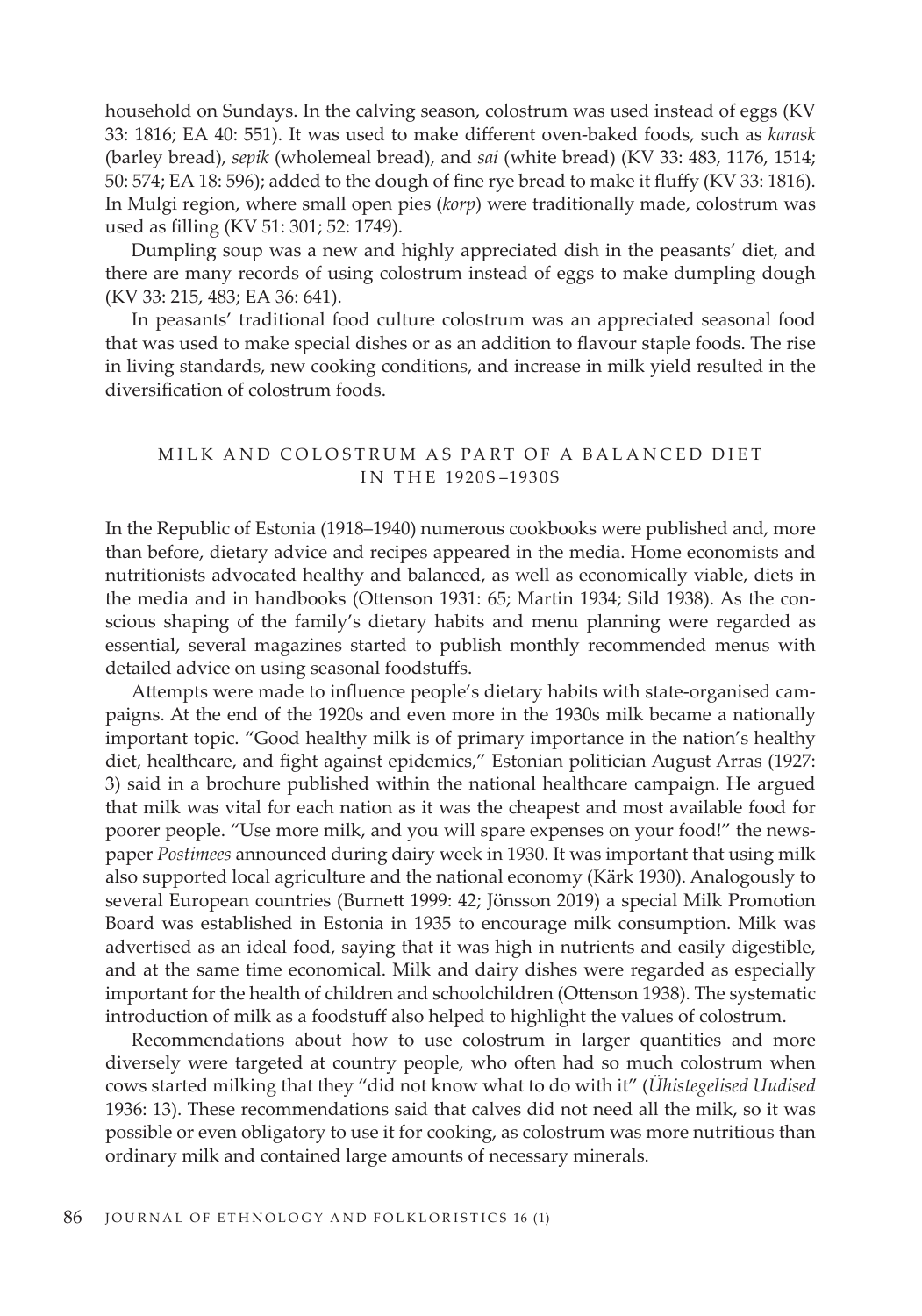household on Sundays. In the calving season, colostrum was used instead of eggs (KV 33: 1816; EA 40: 551). It was used to make different oven-baked foods, such as *karask* (barley bread), *sepik* (wholemeal bread), and *sai* (white bread) (KV 33: 483, 1176, 1514; 50: 574; EA 18: 596); added to the dough of fine rye bread to make it fluffy (KV 33: 1816). In Mulgi region, where small open pies (*korp*) were traditionally made, colostrum was used as filling (KV 51: 301; 52: 1749).

Dumpling soup was a new and highly appreciated dish in the peasants' diet, and there are many records of using colostrum instead of eggs to make dumpling dough (KV 33: 215, 483; EA 36: 641).

In peasants' traditional food culture colostrum was an appreciated seasonal food that was used to make special dishes or as an addition to flavour staple foods. The rise in living standards, new cooking conditions, and increase in milk yield resulted in the diversification of colostrum foods.

# MILK AND COLOSTRUM AS PART OF A BALANCED DIET I N T H E 1920S –1930S

In the Republic of Estonia (1918–1940) numerous cookbooks were published and, more than before, dietary advice and recipes appeared in the media. Home economists and nutritionists advocated healthy and balanced, as well as economically viable, diets in the media and in handbooks (Ottenson 1931: 65; Martin 1934; Sild 1938). As the conscious shaping of the family's dietary habits and menu planning were regarded as essential, several magazines started to publish monthly recommended menus with detailed advice on using seasonal foodstuffs.

Attempts were made to influence people's dietary habits with state-organised campaigns. At the end of the 1920s and even more in the 1930s milk became a nationally important topic. "Good healthy milk is of primary importance in the nation's healthy diet, healthcare, and fight against epidemics," Estonian politician August Arras (1927: 3) said in a brochure published within the national healthcare campaign. He argued that milk was vital for each nation as it was the cheapest and most available food for poorer people. "Use more milk, and you will spare expenses on your food!" the newspaper *Postimees* announced during dairy week in 1930. It was important that using milk also supported local agriculture and the national economy (Kärk 1930). Analogously to several European countries (Burnett 1999: 42; Jönsson 2019) a special Milk Promotion Board was established in Estonia in 1935 to encourage milk consumption. Milk was advertised as an ideal food, saying that it was high in nutrients and easily digestible, and at the same time economical. Milk and dairy dishes were regarded as especially important for the health of children and schoolchildren (Ottenson 1938). The systematic introduction of milk as a foodstuff also helped to highlight the values of colostrum.

Recommendations about how to use colostrum in larger quantities and more diversely were targeted at country people, who often had so much colostrum when cows started milking that they "did not know what to do with it" (*Ühistegelised Uudised* 1936: 13). These recommendations said that calves did not need all the milk, so it was possible or even obligatory to use it for cooking, as colostrum was more nutritious than ordinary milk and contained large amounts of necessary minerals.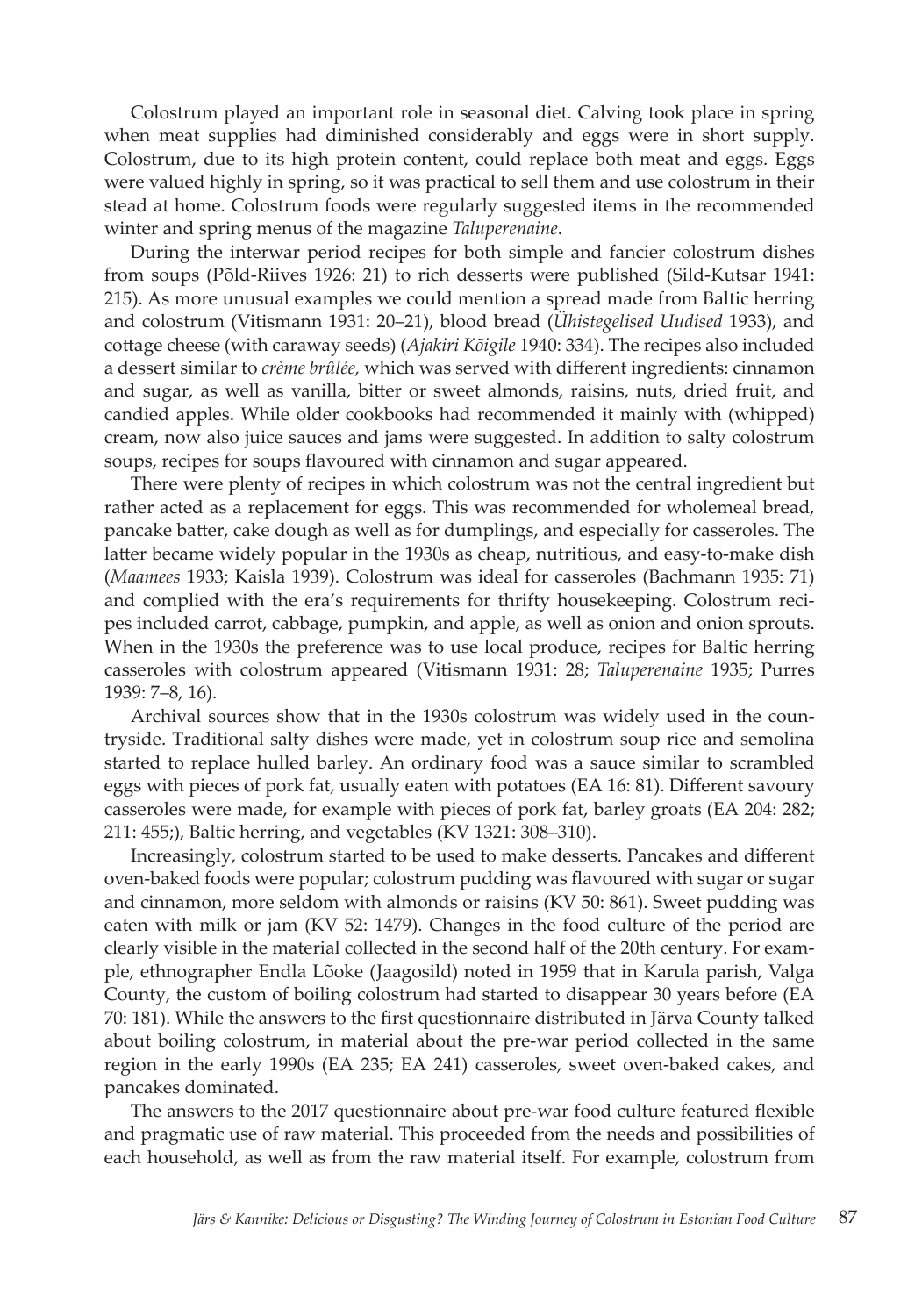Colostrum played an important role in seasonal diet. Calving took place in spring when meat supplies had diminished considerably and eggs were in short supply. Colostrum, due to its high protein content, could replace both meat and eggs. Eggs were valued highly in spring, so it was practical to sell them and use colostrum in their stead at home. Colostrum foods were regularly suggested items in the recommended winter and spring menus of the magazine *Taluperenaine*.

During the interwar period recipes for both simple and fancier colostrum dishes from soups (Põld-Riives 1926: 21) to rich desserts were published (Sild-Kutsar 1941: 215). As more unusual examples we could mention a spread made from Baltic herring and colostrum (Vitismann 1931: 20–21), blood bread (*Ühistegelised Uudised* 1933), and cottage cheese (with caraway seeds) (*Ajakiri Kõigile* 1940: 334). The recipes also included a dessert similar to *crème brûlée,* which was served with different ingredients: cinnamon and sugar, as well as vanilla, bitter or sweet almonds, raisins, nuts, dried fruit, and candied apples. While older cookbooks had recommended it mainly with (whipped) cream, now also juice sauces and jams were suggested. In addition to salty colostrum soups, recipes for soups flavoured with cinnamon and sugar appeared.

There were plenty of recipes in which colostrum was not the central ingredient but rather acted as a replacement for eggs. This was recommended for wholemeal bread, pancake batter, cake dough as well as for dumplings, and especially for casseroles. The latter became widely popular in the 1930s as cheap, nutritious, and easy-to-make dish (*Maamees* 1933; Kaisla 1939). Colostrum was ideal for casseroles (Bachmann 1935: 71) and complied with the era's requirements for thrifty housekeeping. Colostrum recipes included carrot, cabbage, pumpkin, and apple, as well as onion and onion sprouts. When in the 1930s the preference was to use local produce, recipes for Baltic herring casseroles with colostrum appeared (Vitismann 1931: 28; *Taluperenaine* 1935; Purres 1939: 7–8, 16).

Archival sources show that in the 1930s colostrum was widely used in the countryside. Traditional salty dishes were made, yet in colostrum soup rice and semolina started to replace hulled barley. An ordinary food was a sauce similar to scrambled eggs with pieces of pork fat, usually eaten with potatoes (EA 16: 81). Different savoury casseroles were made, for example with pieces of pork fat, barley groats (EA 204: 282; 211: 455;), Baltic herring, and vegetables (KV 1321: 308–310).

Increasingly, colostrum started to be used to make desserts. Pancakes and different oven-baked foods were popular; colostrum pudding was flavoured with sugar or sugar and cinnamon, more seldom with almonds or raisins (KV 50: 861). Sweet pudding was eaten with milk or jam (KV 52: 1479). Changes in the food culture of the period are clearly visible in the material collected in the second half of the 20th century. For example, ethnographer Endla Lõoke (Jaagosild) noted in 1959 that in Karula parish, Valga County, the custom of boiling colostrum had started to disappear 30 years before (EA 70: 181). While the answers to the first questionnaire distributed in Järva County talked about boiling colostrum, in material about the pre-war period collected in the same region in the early 1990s (EA 235; EA 241) casseroles, sweet oven-baked cakes, and pancakes dominated.

The answers to the 2017 questionnaire about pre-war food culture featured flexible and pragmatic use of raw material. This proceeded from the needs and possibilities of each household, as well as from the raw material itself. For example, colostrum from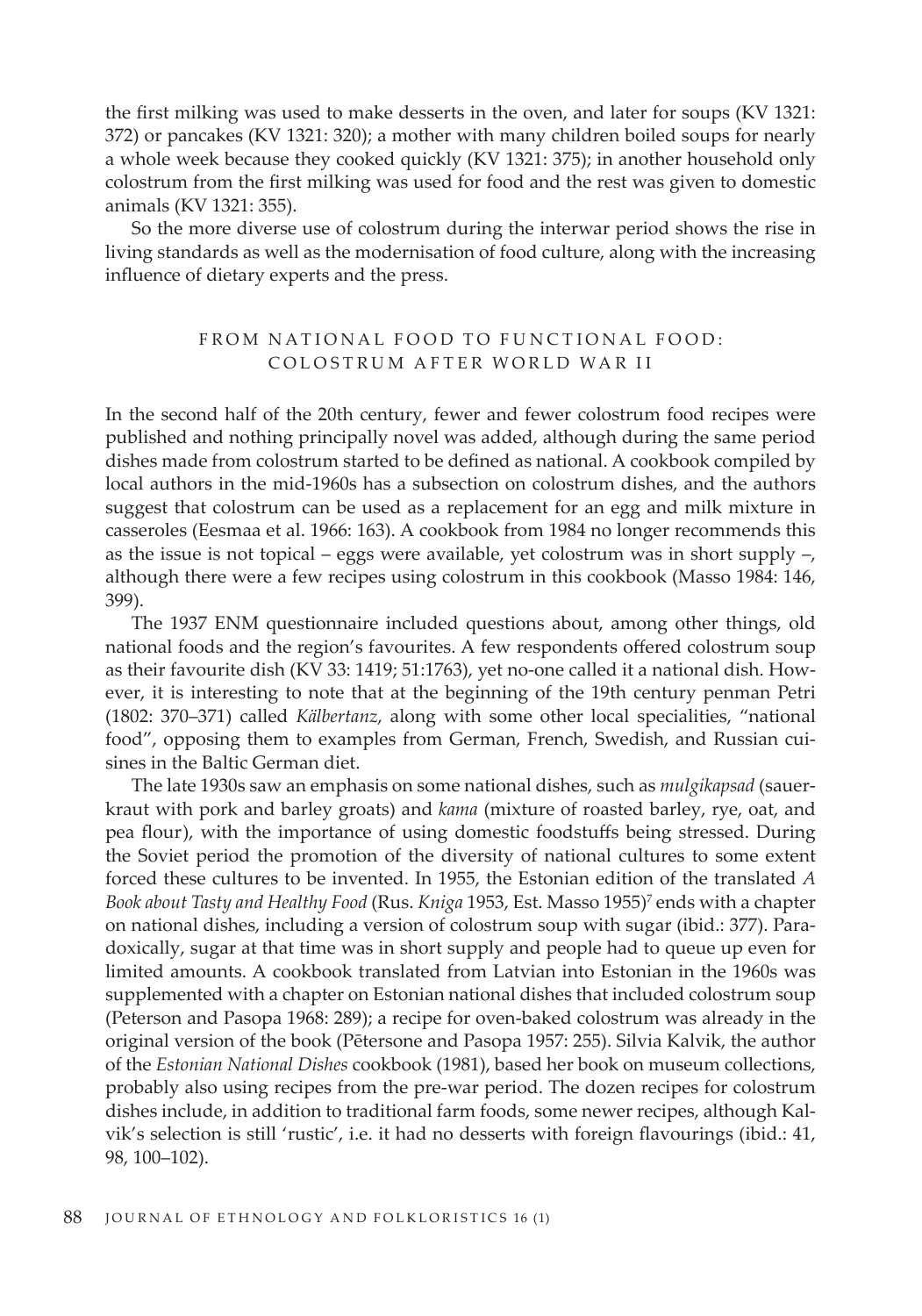the first milking was used to make desserts in the oven, and later for soups (KV 1321: 372) or pancakes (KV 1321: 320); a mother with many children boiled soups for nearly a whole week because they cooked quickly (KV 1321: 375); in another household only colostrum from the first milking was used for food and the rest was given to domestic animals (KV 1321: 355).

So the more diverse use of colostrum during the interwar period shows the rise in living standards as well as the modernisation of food culture, along with the increasing influence of dietary experts and the press.

# FROM NATIONAL FOOD TO FUNCTIONAL FOOD: COLOSTRUM AFTER WORLD WAR II

In the second half of the 20th century, fewer and fewer colostrum food recipes were published and nothing principally novel was added, although during the same period dishes made from colostrum started to be defined as national. A cookbook compiled by local authors in the mid-1960s has a subsection on colostrum dishes, and the authors suggest that colostrum can be used as a replacement for an egg and milk mixture in casseroles (Eesmaa et al. 1966: 163). A cookbook from 1984 no longer recommends this as the issue is not topical – eggs were available, yet colostrum was in short supply  $\neg$ , although there were a few recipes using colostrum in this cookbook (Masso 1984: 146, 399).

The 1937 ENM questionnaire included questions about, among other things, old national foods and the region's favourites. A few respondents offered colostrum soup as their favourite dish (KV 33: 1419; 51:1763), yet no-one called it a national dish. However, it is interesting to note that at the beginning of the 19th century penman Petri (1802: 370–371) called *Kälbertanz*, along with some other local specialities, "national food", opposing them to examples from German, French, Swedish, and Russian cuisines in the Baltic German diet.

The late 1930s saw an emphasis on some national dishes, such as *mulgikapsad* (sauerkraut with pork and barley groats) and *kama* (mixture of roasted barley, rye, oat, and pea flour), with the importance of using domestic foodstuffs being stressed. During the Soviet period the promotion of the diversity of national cultures to some extent forced these cultures to be invented. In 1955, the Estonian edition of the translated *A*  Book about Tasty and Healthy Food (Rus. *Kniga* 1953, Est. Masso 1955)<sup>7</sup> ends with a chapter on national dishes, including a version of colostrum soup with sugar (ibid.: 377). Paradoxically, sugar at that time was in short supply and people had to queue up even for limited amounts. A cookbook translated from Latvian into Estonian in the 1960s was supplemented with a chapter on Estonian national dishes that included colostrum soup (Peterson and Pasopa 1968: 289); a recipe for oven-baked colostrum was already in the original version of the book (Pētersone and Pasopa 1957: 255). Silvia Kalvik, the author of the *Estonian National Dishes* cookbook (1981), based her book on museum collections, probably also using recipes from the pre-war period. The dozen recipes for colostrum dishes include, in addition to traditional farm foods, some newer recipes, although Kalvik's selection is still 'rustic', i.e. it had no desserts with foreign flavourings (ibid.: 41, 98, 100–102).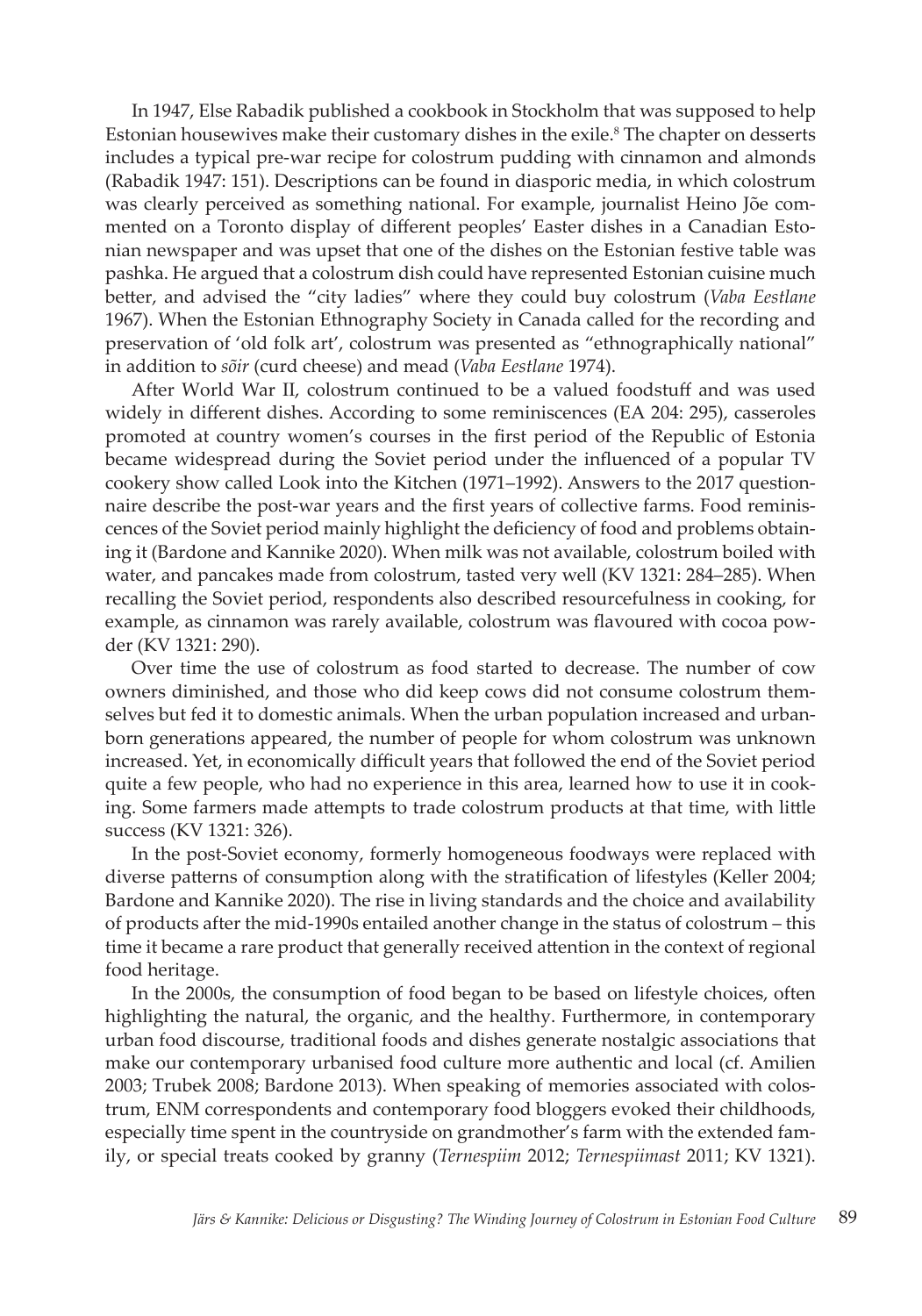In 1947, Else Rabadik published a cookbook in Stockholm that was supposed to help Estonian housewives make their customary dishes in the exile.<sup>8</sup> The chapter on desserts includes a typical pre-war recipe for colostrum pudding with cinnamon and almonds (Rabadik 1947: 151). Descriptions can be found in diasporic media, in which colostrum was clearly perceived as something national. For example, journalist Heino Jõe commented on a Toronto display of different peoples' Easter dishes in a Canadian Estonian newspaper and was upset that one of the dishes on the Estonian festive table was pashka. He argued that a colostrum dish could have represented Estonian cuisine much better, and advised the "city ladies" where they could buy colostrum (*Vaba Eestlane*  1967). When the Estonian Ethnography Society in Canada called for the recording and preservation of 'old folk art', colostrum was presented as "ethnographically national" in addition to *sõir* (curd cheese) and mead (*Vaba Eestlane* 1974).

After World War II, colostrum continued to be a valued foodstuff and was used widely in different dishes. According to some reminiscences (EA 204: 295), casseroles promoted at country women's courses in the first period of the Republic of Estonia became widespread during the Soviet period under the influenced of a popular TV cookery show called Look into the Kitchen (1971–1992). Answers to the 2017 questionnaire describe the post-war years and the first years of collective farms. Food reminiscences of the Soviet period mainly highlight the deficiency of food and problems obtaining it (Bardone and Kannike 2020). When milk was not available, colostrum boiled with water, and pancakes made from colostrum, tasted very well (KV 1321: 284–285). When recalling the Soviet period, respondents also described resourcefulness in cooking, for example, as cinnamon was rarely available, colostrum was flavoured with cocoa powder (KV 1321: 290).

Over time the use of colostrum as food started to decrease. The number of cow owners diminished, and those who did keep cows did not consume colostrum themselves but fed it to domestic animals. When the urban population increased and urbanborn generations appeared, the number of people for whom colostrum was unknown increased. Yet, in economically difficult years that followed the end of the Soviet period quite a few people, who had no experience in this area, learned how to use it in cooking. Some farmers made attempts to trade colostrum products at that time, with little success (KV 1321: 326).

In the post-Soviet economy, formerly homogeneous foodways were replaced with diverse patterns of consumption along with the stratification of lifestyles (Keller 2004; Bardone and Kannike 2020). The rise in living standards and the choice and availability of products after the mid-1990s entailed another change in the status of colostrum – this time it became a rare product that generally received attention in the context of regional food heritage.

In the 2000s, the consumption of food began to be based on lifestyle choices, often highlighting the natural, the organic, and the healthy. Furthermore, in contemporary urban food discourse, traditional foods and dishes generate nostalgic associations that make our contemporary urbanised food culture more authentic and local (cf. Amilien 2003; Trubek 2008; Bardone 2013). When speaking of memories associated with colostrum, ENM correspondents and contemporary food bloggers evoked their childhoods, especially time spent in the countryside on grandmother's farm with the extended family, or special treats cooked by granny (*Ternespiim* 2012; *Ternespiimast* 2011; KV 1321).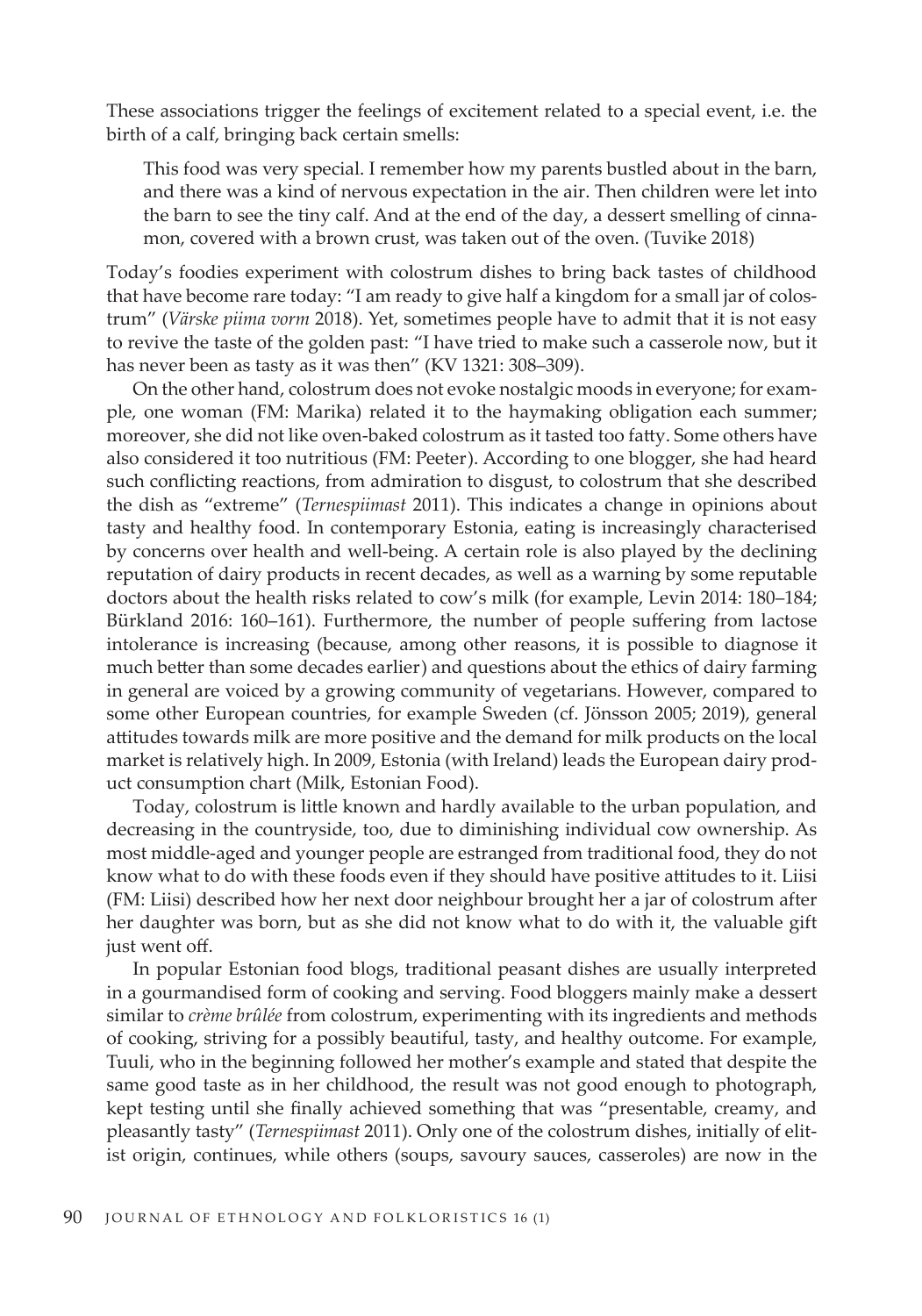These associations trigger the feelings of excitement related to a special event, i.e. the birth of a calf, bringing back certain smells:

This food was very special. I remember how my parents bustled about in the barn, and there was a kind of nervous expectation in the air. Then children were let into the barn to see the tiny calf. And at the end of the day, a dessert smelling of cinnamon, covered with a brown crust, was taken out of the oven. (Tuvike 2018)

Today's foodies experiment with colostrum dishes to bring back tastes of childhood that have become rare today: "I am ready to give half a kingdom for a small jar of colostrum" (*Värske piima vorm* 2018). Yet, sometimes people have to admit that it is not easy to revive the taste of the golden past: "I have tried to make such a casserole now, but it has never been as tasty as it was then" (KV 1321: 308–309).

On the other hand, colostrum does not evoke nostalgic moods in everyone; for example, one woman (FM: Marika) related it to the haymaking obligation each summer; moreover, she did not like oven-baked colostrum as it tasted too fatty. Some others have also considered it too nutritious (FM: Peeter). According to one blogger, she had heard such conflicting reactions, from admiration to disgust, to colostrum that she described the dish as "extreme" (*Ternespiimast* 2011). This indicates a change in opinions about tasty and healthy food. In contemporary Estonia, eating is increasingly characterised by concerns over health and well-being. A certain role is also played by the declining reputation of dairy products in recent decades, as well as a warning by some reputable doctors about the health risks related to cow's milk (for example, Levin 2014: 180–184; Bürkland 2016: 160–161). Furthermore, the number of people suffering from lactose intolerance is increasing (because, among other reasons, it is possible to diagnose it much better than some decades earlier) and questions about the ethics of dairy farming in general are voiced by a growing community of vegetarians. However, compared to some other European countries, for example Sweden (cf. Jönsson 2005; 2019), general attitudes towards milk are more positive and the demand for milk products on the local market is relatively high. In 2009, Estonia (with Ireland) leads the European dairy product consumption chart (Milk, Estonian Food).

Today, colostrum is little known and hardly available to the urban population, and decreasing in the countryside, too, due to diminishing individual cow ownership. As most middle-aged and younger people are estranged from traditional food, they do not know what to do with these foods even if they should have positive attitudes to it. Liisi (FM: Liisi) described how her next door neighbour brought her a jar of colostrum after her daughter was born, but as she did not know what to do with it, the valuable gift just went off.

In popular Estonian food blogs, traditional peasant dishes are usually interpreted in a gourmandised form of cooking and serving. Food bloggers mainly make a dessert similar to *crème brûlée* from colostrum, experimenting with its ingredients and methods of cooking, striving for a possibly beautiful, tasty, and healthy outcome. For example, Tuuli, who in the beginning followed her mother's example and stated that despite the same good taste as in her childhood, the result was not good enough to photograph, kept testing until she finally achieved something that was "presentable, creamy, and pleasantly tasty" (*Ternespiimast* 2011). Only one of the colostrum dishes, initially of elitist origin, continues, while others (soups, savoury sauces, casseroles) are now in the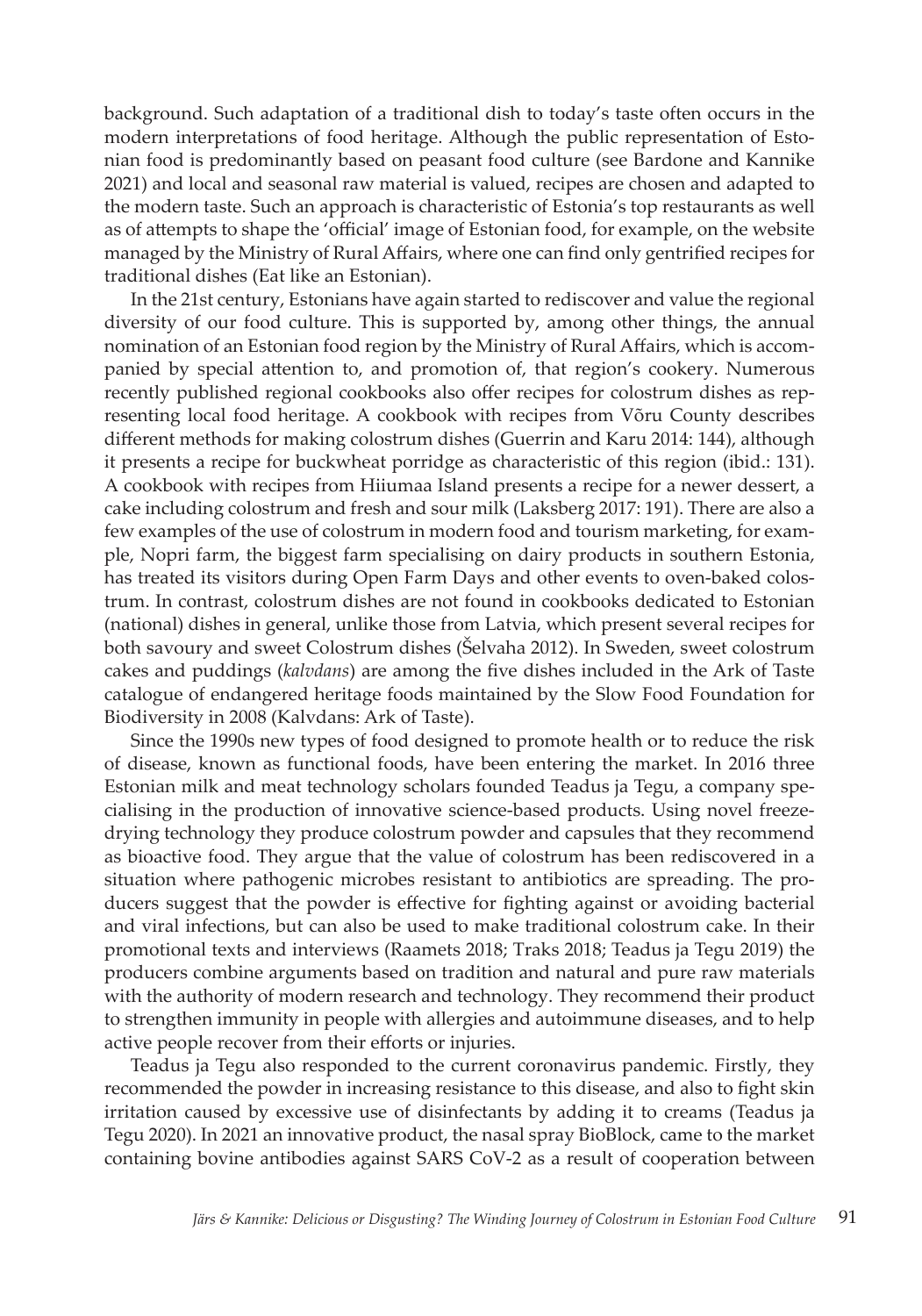background. Such adaptation of a traditional dish to today's taste often occurs in the modern interpretations of food heritage. Although the public representation of Estonian food is predominantly based on peasant food culture (see Bardone and Kannike 2021) and local and seasonal raw material is valued, recipes are chosen and adapted to the modern taste. Such an approach is characteristic of Estonia's top restaurants as well as of attempts to shape the 'official' image of Estonian food, for example, on the website managed by the Ministry of Rural Affairs, where one can find only gentrified recipes for traditional dishes (Eat like an Estonian).

In the 21st century, Estonians have again started to rediscover and value the regional diversity of our food culture. This is supported by, among other things, the annual nomination of an Estonian food region by the Ministry of Rural Affairs, which is accompanied by special attention to, and promotion of, that region's cookery. Numerous recently published regional cookbooks also offer recipes for colostrum dishes as representing local food heritage. A cookbook with recipes from Võru County describes different methods for making colostrum dishes (Guerrin and Karu 2014: 144), although it presents a recipe for buckwheat porridge as characteristic of this region (ibid.: 131). A cookbook with recipes from Hiiumaa Island presents a recipe for a newer dessert, a cake including colostrum and fresh and sour milk (Laksberg 2017: 191). There are also a few examples of the use of colostrum in modern food and tourism marketing, for example, Nopri farm, the biggest farm specialising on dairy products in southern Estonia, has treated its visitors during Open Farm Days and other events to oven-baked colostrum. In contrast, colostrum dishes are not found in cookbooks dedicated to Estonian (national) dishes in general, unlike those from Latvia, which present several recipes for both savoury and sweet Colostrum dishes (Šelvaha 2012). In Sweden, sweet colostrum cakes and puddings (*kalvdans*) are among the five dishes included in the Ark of Taste catalogue of endangered heritage foods maintained by the Slow Food Foundation for Biodiversity in 2008 (Kalvdans: Ark of Taste).

Since the 1990s new types of food designed to promote health or to reduce the risk of disease, known as functional foods, have been entering the market. In 2016 three Estonian milk and meat technology scholars founded Teadus ja Tegu, a company specialising in the production of innovative science-based products. Using novel freezedrying technology they produce colostrum powder and capsules that they recommend as bioactive food. They argue that the value of colostrum has been rediscovered in a situation where pathogenic microbes resistant to antibiotics are spreading. The producers suggest that the powder is effective for fighting against or avoiding bacterial and viral infections, but can also be used to make traditional colostrum cake. In their promotional texts and interviews (Raamets 2018; Traks 2018; Teadus ja Tegu 2019) the producers combine arguments based on tradition and natural and pure raw materials with the authority of modern research and technology. They recommend their product to strengthen immunity in people with allergies and autoimmune diseases, and to help active people recover from their efforts or injuries.

Teadus ja Tegu also responded to the current coronavirus pandemic. Firstly, they recommended the powder in increasing resistance to this disease, and also to fight skin irritation caused by excessive use of disinfectants by adding it to creams (Teadus ja Tegu 2020). In 2021 an innovative product, the nasal spray BioBlock, came to the market containing bovine antibodies against SARS CoV-2 as a result of cooperation between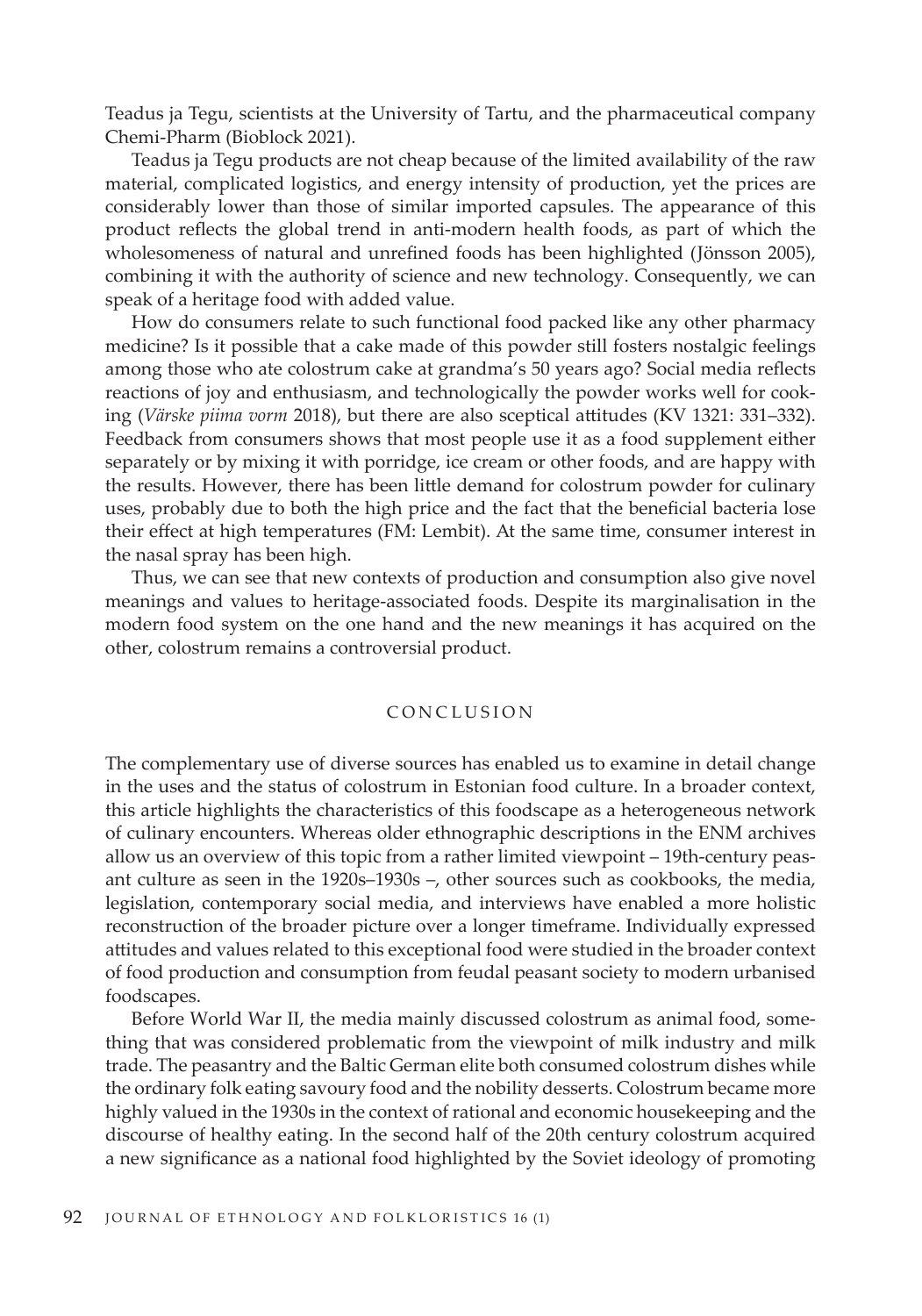Teadus ja Tegu, scientists at the University of Tartu, and the pharmaceutical company Chemi-Pharm (Bioblock 2021).

Teadus ja Tegu products are not cheap because of the limited availability of the raw material, complicated logistics, and energy intensity of production, yet the prices are considerably lower than those of similar imported capsules. The appearance of this product reflects the global trend in anti-modern health foods, as part of which the wholesomeness of natural and unrefined foods has been highlighted (Jönsson 2005), combining it with the authority of science and new technology. Consequently, we can speak of a heritage food with added value.

How do consumers relate to such functional food packed like any other pharmacy medicine? Is it possible that a cake made of this powder still fosters nostalgic feelings among those who ate colostrum cake at grandma's 50 years ago? Social media reflects reactions of joy and enthusiasm, and technologically the powder works well for cooking (*Värske piima vorm* 2018), but there are also sceptical attitudes (KV 1321: 331–332). Feedback from consumers shows that most people use it as a food supplement either separately or by mixing it with porridge, ice cream or other foods, and are happy with the results. However, there has been little demand for colostrum powder for culinary uses, probably due to both the high price and the fact that the beneficial bacteria lose their effect at high temperatures (FM: Lembit). At the same time, consumer interest in the nasal spray has been high.

Thus, we can see that new contexts of production and consumption also give novel meanings and values to heritage-associated foods. Despite its marginalisation in the modern food system on the one hand and the new meanings it has acquired on the other, colostrum remains a controversial product.

#### CONCLUSION

The complementary use of diverse sources has enabled us to examine in detail change in the uses and the status of colostrum in Estonian food culture. In a broader context, this article highlights the characteristics of this foodscape as a heterogeneous network of culinary encounters. Whereas older ethnographic descriptions in the ENM archives allow us an overview of this topic from a rather limited viewpoint – 19th-century peasant culture as seen in the 1920s–1930s –, other sources such as cookbooks, the media, legislation, contemporary social media, and interviews have enabled a more holistic reconstruction of the broader picture over a longer timeframe. Individually expressed attitudes and values related to this exceptional food were studied in the broader context of food production and consumption from feudal peasant society to modern urbanised foodscapes.

Before World War II, the media mainly discussed colostrum as animal food, something that was considered problematic from the viewpoint of milk industry and milk trade. The peasantry and the Baltic German elite both consumed colostrum dishes while the ordinary folk eating savoury food and the nobility desserts. Colostrum became more highly valued in the 1930s in the context of rational and economic housekeeping and the discourse of healthy eating. In the second half of the 20th century colostrum acquired a new significance as a national food highlighted by the Soviet ideology of promoting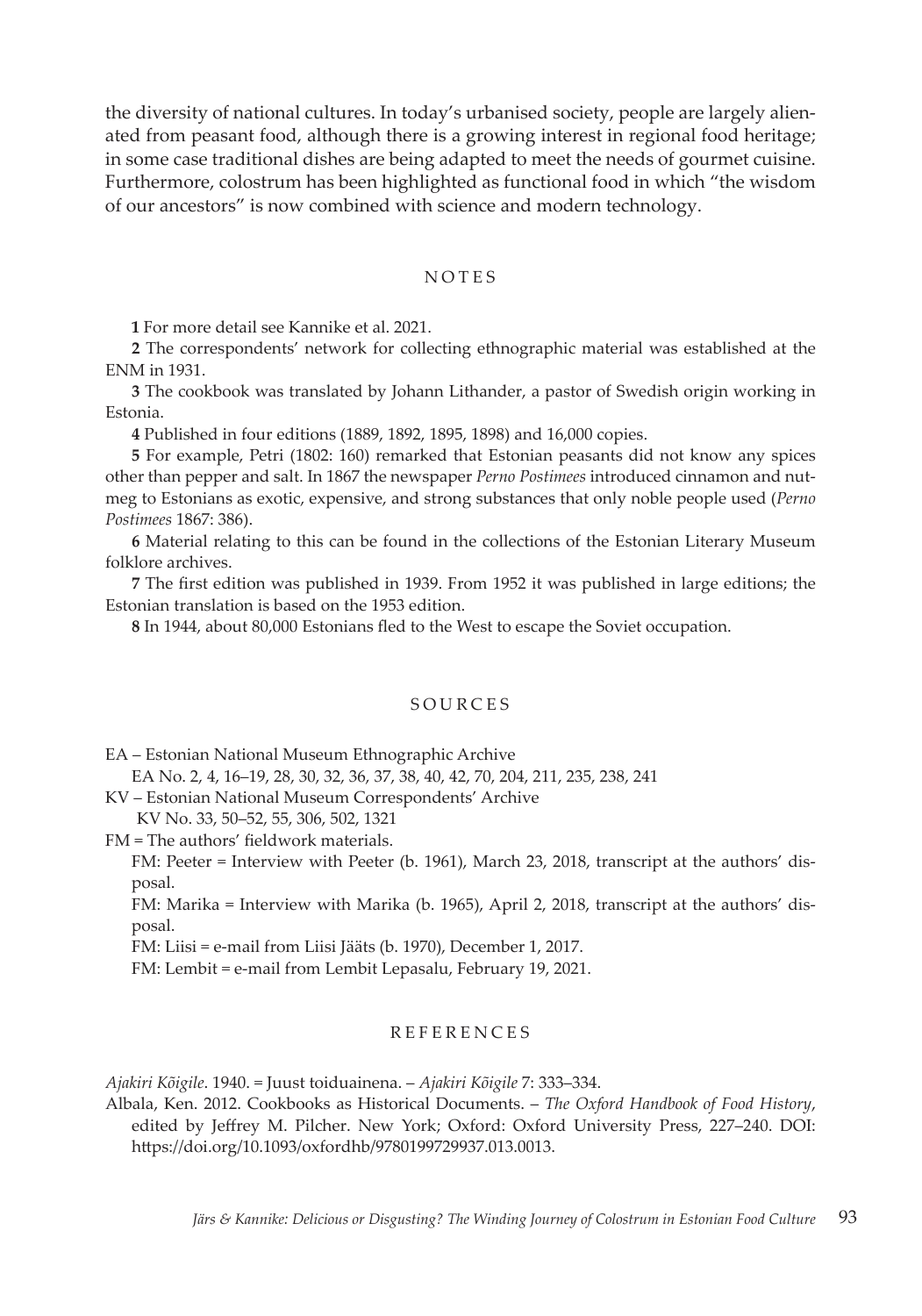the diversity of national cultures. In today's urbanised society, people are largely alienated from peasant food, although there is a growing interest in regional food heritage; in some case traditional dishes are being adapted to meet the needs of gourmet cuisine. Furthermore, colostrum has been highlighted as functional food in which "the wisdom of our ancestors" is now combined with science and modern technology.

#### NOTES

**1** For more detail see Kannike et al. 2021.

**2** The correspondents' network for collecting ethnographic material was established at the ENM in 1931.

**3** The cookbook was translated by Johann Lithander, a pastor of Swedish origin working in Estonia.

**4** Published in four editions (1889, 1892, 1895, 1898) and 16,000 copies.

**5** For example, Petri (1802: 160) remarked that Estonian peasants did not know any spices other than pepper and salt. In 1867 the newspaper *Perno Postimees* introduced cinnamon and nutmeg to Estonians as exotic, expensive, and strong substances that only noble people used (*Perno Postimees* 1867: 386).

**6** Material relating to this can be found in the collections of the Estonian Literary Museum folklore archives.

**7** The first edition was published in 1939. From 1952 it was published in large editions; the Estonian translation is based on the 1953 edition.

**8** In 1944, about 80,000 Estonians fled to the West to escape the Soviet occupation.

#### SOURCES

EA – Estonian National Museum Ethnographic Archive

EA No. 2, 4, 16–19, 28, 30, 32, 36, 37, 38, 40, 42, 70, 204, 211, 235, 238, 241

KV – Estonian National Museum Correspondents' Archive KV No. 33, 50–52, 55, 306, 502, 1321

FM = The authors' fieldwork materials.

FM: Peeter = Interview with Peeter (b. 1961), March 23, 2018, transcript at the authors' disposal.

FM: Marika = Interview with Marika (b. 1965), April 2, 2018, transcript at the authors' disposal.

FM: Liisi = e-mail from Liisi Jääts (b. 1970), December 1, 2017.

FM: Lembit = e-mail from Lembit Lepasalu, February 19, 2021.

## REFERENCES

*Ajakiri Kõigile*. 1940. = Juust toiduainena. – *Ajakiri Kõigile* 7: 333–334.

Albala, Ken. 2012. Cookbooks as Historical Documents. – *The Oxford Handbook of Food History*, edited by Jeffrey M. Pilcher. New York; Oxford: Oxford University Press, 227–240. DOI: https://doi.org/10.1093/oxfordhb/9780199729937.013.0013.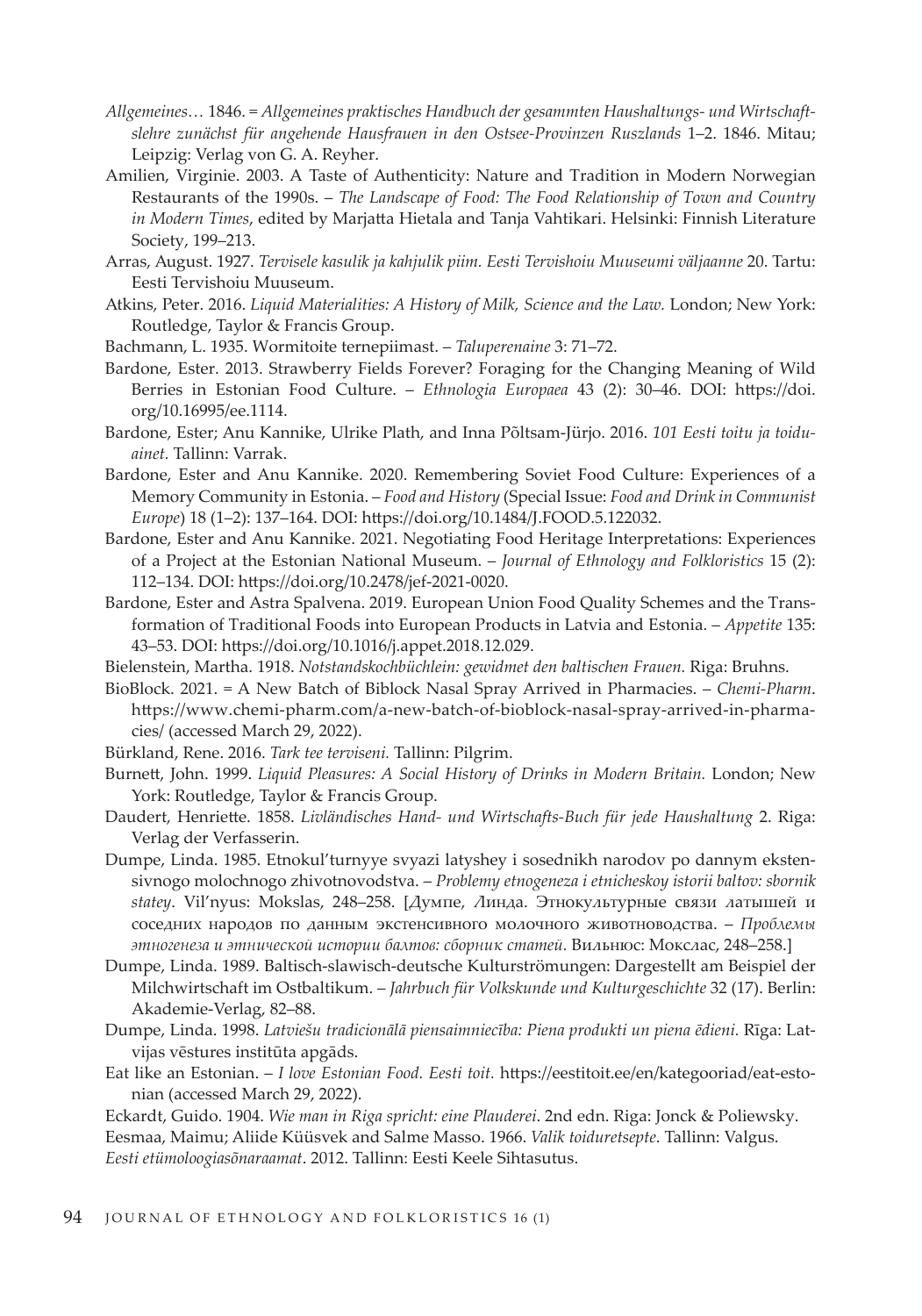- *Allgemeines…* 1846. = *Allgemeines praktisches Handbuch der gesammten Haushaltungs- und Wirtschaftslehre zunächst für angehende Hausfrauen in den Ostsee-Provinzen Ruszlands* 1–2. 1846. Mitau; Leipzig: Verlag von G. A. Reyher.
- Amilien, Virginie. 2003. A Taste of Authenticity: Nature and Tradition in Modern Norwegian Restaurants of the 1990s. – *The Landscape of Food: The Food Relationship of Town and Country in Modern Times*, edited by Marjatta Hietala and Tanja Vahtikari. Helsinki: Finnish Literature Society, 199–213.
- Arras, August. 1927. *Tervisele kasulik ja kahjulik piim. Eesti Tervishoiu Muuseumi väljaanne* 20. Tartu: Eesti Tervishoiu Muuseum.
- Atkins, Peter. 2016. *Liquid Materialities: A History of Milk, Science and the Law.* London; New York: Routledge, Taylor & Francis Group.
- Bachmann, L. 1935. Wormitoite ternepiimast. *Taluperenaine* 3: 71–72.

Bardone, Ester. 2013. Strawberry Fields Forever? Foraging for the Changing Meaning of Wild Berries in Estonian Food Culture. – *Ethnologia Europaea* 43 (2): 30–46. DOI: https://doi. org/10.16995/ee.1114.

- Bardone, Ester; Anu Kannike, Ulrike Plath, and Inna Põltsam-Jürjo. 2016. *101 Eesti toitu ja toiduainet.* Tallinn: Varrak.
- Bardone, Ester and Anu Kannike. 2020. Remembering Soviet Food Culture: Experiences of a Memory Community in Estonia. – *Food and History* (Special Issue: *Food and Drink in Communist Europe*) 18 (1–2): 137–164. DOI: https://doi.org/10.1484/J.FOOD.5.122032.
- Bardone, Ester and Anu Kannike. 2021. Negotiating Food Heritage Interpretations: Experiences of a Project at the Estonian National Museum. – *Journal of Ethnology and Folkloristics* 15 (2): 112–134. DOI: https://doi.org/10.2478/jef-2021-0020.
- Bardone, Ester and Astra Spalvena. 2019. European Union Food Quality Schemes and the Transformation of Traditional Foods into European Products in Latvia and Estonia. – *Appetite* 135: 43–53. DOI: https://doi.org/10.1016/j.appet.2018.12.029.
- Bielenstein, Martha. 1918. *Notstandskochbüchlein: gewidmet den baltischen Frauen.* Riga: Bruhns.
- BioBlock. 2021. = A New Batch of Biblock Nasal Spray Arrived in Pharmacies. *Chemi-Pharm*. https://www.chemi-pharm.com/a-new-batch-of-bioblock-nasal-spray-arrived-in-pharmacies/ (accessed March 29, 2022).
- Bürkland, Rene. 2016. *Tark tee terviseni.* Tallinn: Pilgrim.
- Burnett, John. 1999. *Liquid Pleasures: A Social History of Drinks in Modern Britain.* London; New York: Routledge, Taylor & Francis Group.
- Daudert, Henriette. 1858. *Livländisches Hand- und Wirtschafts-Buch für jede Haushaltung* 2. Riga: Verlag der Verfasserin.
- Dumpe, Linda. 1985. Etnokul'turnyye svyazi latyshey i sosednikh narodov po dannym ekstensivnogo molochnogo zhivotnovodstva. – *Problemy etnogeneza i etnicheskoy istorii baltov: sbornik statey*. Vil'nyus: Mokslas, 248–258. [Думпе, Линда. Этнокультурные связи латышей и соседних народов по данным экстенсивного молочного животноводства. – *Проблемы этногенеза и этнической истории балтов: сборник статей.* Вильнюс: Мокслас, 248–258.]
- Dumpe, Linda. 1989. Baltisch-slawisch-deutsche Kulturströmungen: Dargestellt am Beispiel der Milchwirtschaft im Ostbaltikum. – *Jahrbuch für Volkskunde und Kulturgeschichte* 32 (17). Berlin: Akademie-Verlag, 82–88.
- Dumpe, Linda. 1998. *Latviešu tradicionālā piensaimniecība: Piena produkti un piena ēdieni.* Rīga: Latvijas vēstures institūta apgāds.
- Eat like an Estonian. *I love Estonian Food. Eesti toit.* https://eestitoit.ee/en/kategooriad/eat-estonian (accessed March 29, 2022).

Eckardt, Guido. 1904. *Wie man in Riga spricht: eine Plauderei*. 2nd edn. Riga: Jonck & Poliewsky. Eesmaa, Maimu; Aliide Küüsvek and Salme Masso. 1966. *Valik toiduretsepte*. Tallinn: Valgus. *Eesti etümoloogiasõnaraamat*. 2012. Tallinn: Eesti Keele Sihtasutus.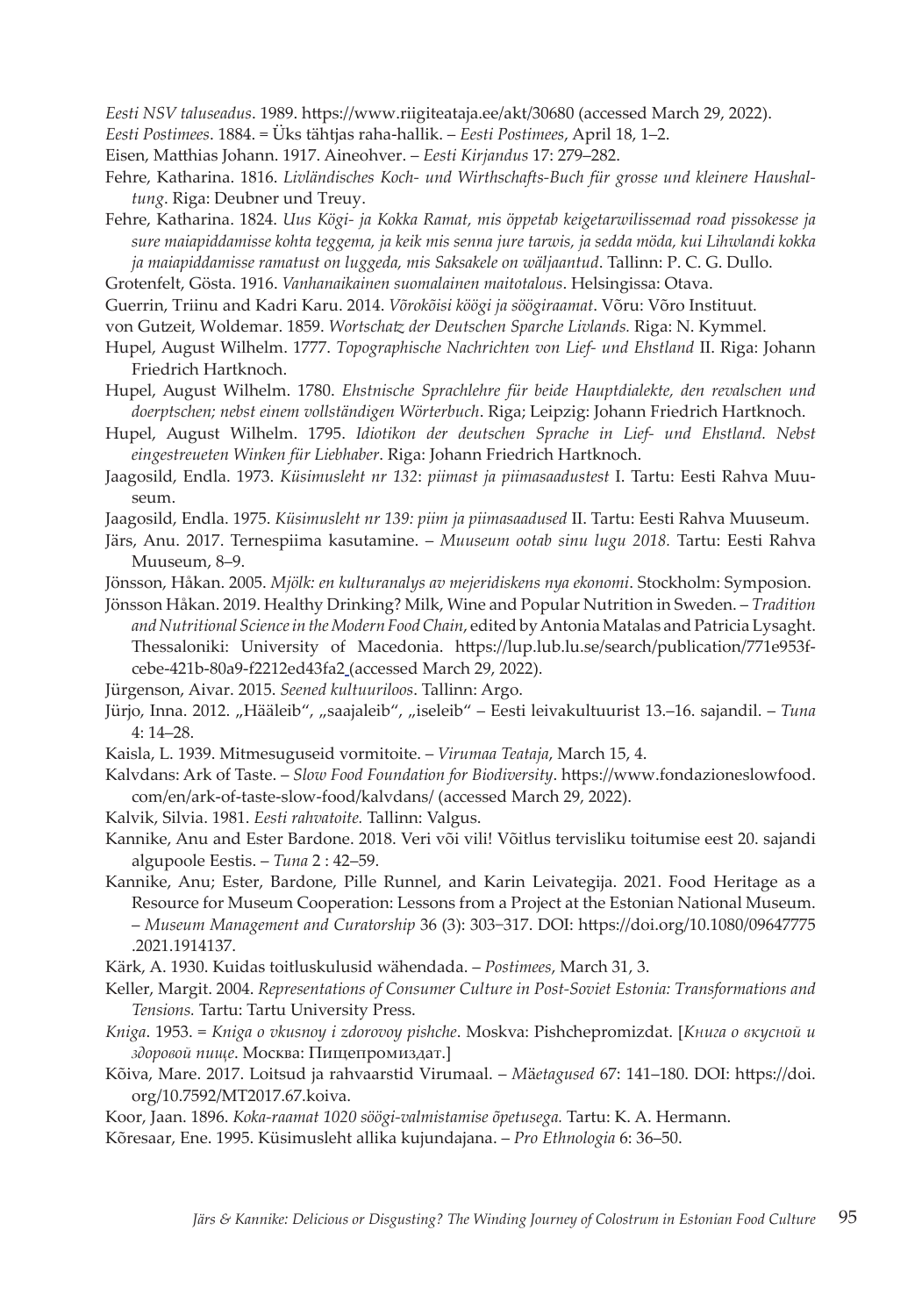*Eesti NSV taluseadus*. 1989. https://www.riigiteataja.ee/akt/30680 (accessed March 29, 2022).

- *Eesti Postimees*. 1884. = Üks tähtjas raha-hallik. *Eesti Postimees*, April 18, 1–2.
- Eisen, Matthias Johann. 1917. Aineohver. *Eesti Kirjandus* 17: 279–282.
- Fehre, Katharina. 1816. *Livländisches Koch- und Wirthschafts-Buch für grosse und kleinere Haushaltung*. Riga: Deubner und Treuy.
- Fehre, Katharina. 1824. *Uus Kögi- ja Kokka Ramat, mis öppetab keigetarwilissemad road pissokesse ja sure maiapiddamisse kohta teggema, ja keik mis senna jure tarwis, ja sedda möda, kui Lihwlandi kokka ja maiapiddamisse ramatust on luggeda, mis Saksakele on wäljaantud*. Tallinn: P. C. G. Dullo.
- Grotenfelt, Gösta. 1916. *Vanhanaikainen suomalainen maitotalous*. Helsingissa: Otava.
- Guerrin, Triinu and Kadri Karu. 2014. *Võrokõisi köögi ja söögiraamat*. Võru: Võro Instituut.
- von Gutzeit, Woldemar. 1859. *Wortschatz der Deutschen Sparche Livlands.* Riga: N. Kymmel.
- Hupel, August Wilhelm. 1777. *Topographische Nachrichten von Lief- und Ehstland* II. Riga: Johann Friedrich Hartknoch.
- Hupel, August Wilhelm. 1780. *Ehstnische Sprachlehre für beide Hauptdialekte, den revalschen und doerptschen; nebst einem vollständigen Wörterbuch*. Riga; Leipzig: Johann Friedrich Hartknoch.
- Hupel, August Wilhelm. 1795. *Idiotikon der deutschen Sprache in Lief- und Ehstland. Nebst eingestreueten Winken für Liebhaber*. Riga: Johann Friedrich Hartknoch.
- Jaagosild, Endla. 1973. *Küsimusleht nr 132*: *piimast ja piimasaadustest* I. Tartu: Eesti Rahva Muuseum.
- Jaagosild, Endla. 1975. *Küsimusleht nr 139: piim ja piimasaadused* II. Tartu: Eesti Rahva Muuseum.
- Järs, Anu. 2017. Ternespiima kasutamine. *Muuseum ootab sinu lugu 2018.* Tartu: Eesti Rahva Muuseum, 8–9.
- Jönsson, Håkan. 2005. *Mjölk: en kulturanalys av mejeridiskens nya ekonomi*. Stockholm: Symposion.

Jönsson Håkan. 2019. Healthy Drinking? Milk, Wine and Popular Nutrition in Sweden. – *Tradition and Nutritional Science in the Modern Food Chain*, edited by Antonia Matalas and Patricia Lysaght. Thessaloniki: University of Macedonia. https://lup.lub.lu.se/search/publication/771e953fcebe-421b-80a9-f2212ed43fa2 (accessed March 29, 2022).

- Jürgenson, Aivar. 2015. *Seened kultuuriloos*. Tallinn: Argo.
- Jürjo, Inna. 2012. "Hääleib", "saajaleib", "iseleib" Eesti leivakultuurist 13.–16. sajandil. Tuna 4: 14–28.
- Kaisla, L. 1939. Mitmesuguseid vormitoite. *Virumaa Teataja*, March 15, 4.
- Kalvdans: Ark of Taste. *Slow Food Foundation for Biodiversity*. https://www.fondazioneslowfood. com/en/ark-of-taste-slow-food/kalvdans/ (accessed March 29, 2022).
- Kalvik, Silvia. 1981. *Eesti rahvatoite.* Tallinn: Valgus.
- Kannike, Anu and Ester Bardone. 2018. Veri või vili! Võitlus tervisliku toitumise eest 20. sajandi algupoole Eestis. – *Tuna* 2 : 42–59.
- Kannike, Anu; Ester, Bardone, Pille Runnel, and Karin Leivategija. 2021. Food Heritage as a Resource for Museum Cooperation: Lessons from a Project at the Estonian National Museum. – *Museum Management and Curatorship* 36 (3): 303−317. DOI: https://doi.org/10.1080/09647775 .2021.1914137.
- Kärk, A. 1930. Kuidas toitluskulusid wähendada. *Postimees*, March 31, 3.
- Keller, Margit. 2004. *Representations of Consumer Culture in Post-Soviet Estonia: Transformations and Tensions.* Tartu: Tartu University Press.
- *Kniga*. 1953. = *Kniga o vkusnoy i zdorovoy pishche*. Moskva: Pishchepromizdat. [*Книга о вкусной и здоровой пище*. Москва: Пищепромиздат.]
- Kõiva, Mare. 2017. Loitsud ja rahvaarstid Virumaal. *M*ä*etagused* 67: 141–180. DOI: https://doi. org/10.7592/MT2017.67.koiva.
- Koor, Jaan. 1896. *Koka-raamat 1020 söögi-valmistamise õpetusega.* Tartu: K. A. Hermann.
- Kõresaar, Ene. 1995. Küsimusleht allika kujundajana. *Pro Ethnologia* 6: 36–50.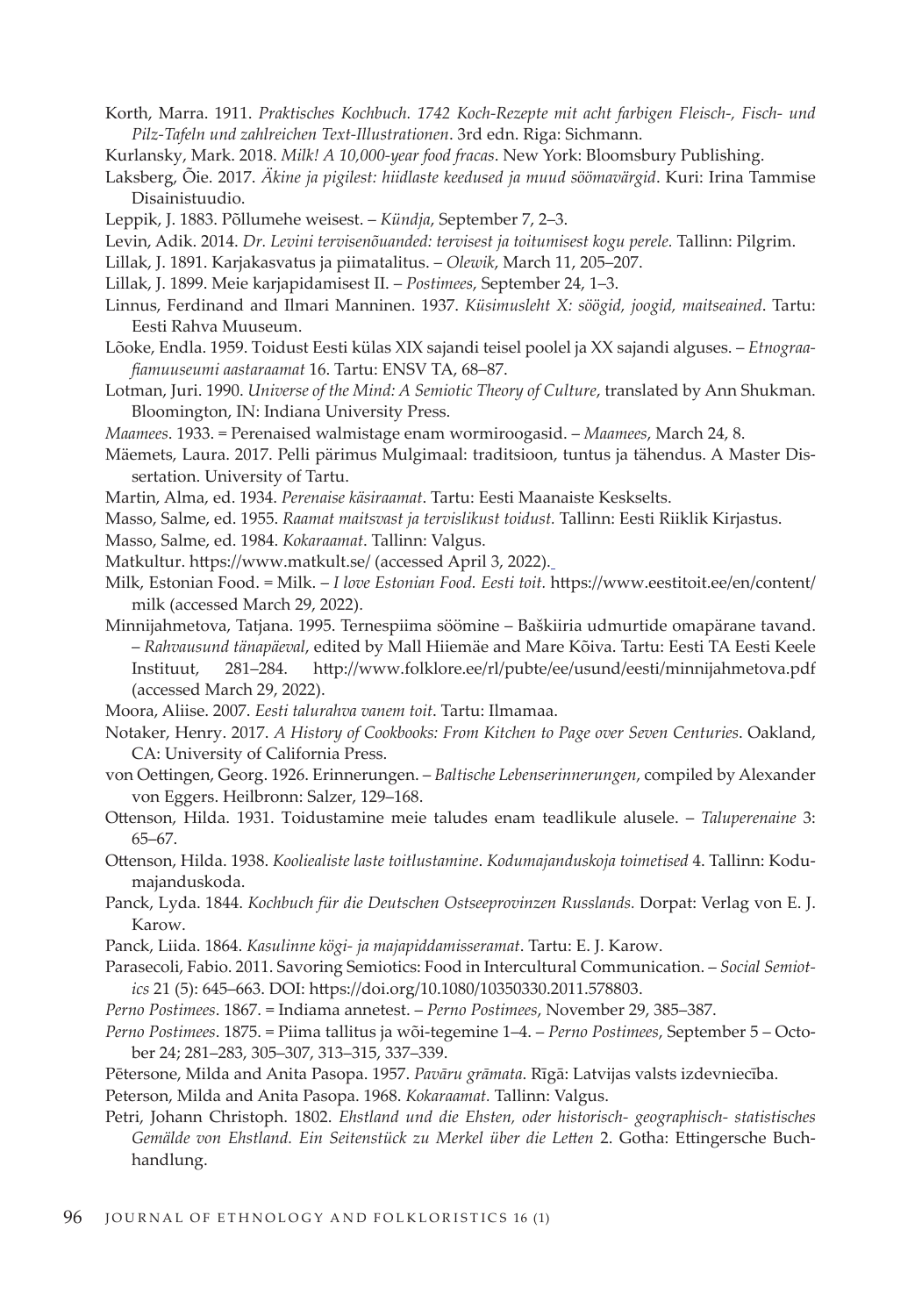- Korth, Marra. 1911. *Praktisches Kochbuch. 1742 Koch-Rezepte mit acht farbigen Fleisch-, Fisch- und Pilz-Tafeln und zahlreichen Text-Illustrationen*. 3rd edn. Riga: Sichmann.
- Kurlansky, Mark. 2018. *Milk! A 10,000-year food fracas*. New York: Bloomsbury Publishing.
- Laksberg, Õie. 2017. *Äkine ja pigilest: hiidlaste keedused ja muud söömavärgid*. Kuri: Irina Tammise Disainistuudio.
- Leppik, J. 1883. Põllumehe weisest. *Kündja*, September 7, 2–3.
- Levin, Adik. 2014. *Dr. Levini tervisenõuanded: tervisest ja toitumisest kogu perele.* Tallinn: Pilgrim.
- Lillak, J. 1891. Karjakasvatus ja piimatalitus. *Olewik*, March 11, 205–207.
- Lillak, J. 1899. Meie karjapidamisest II. *Postimees*, September 24, 1–3.
- Linnus, Ferdinand and Ilmari Manninen. 1937. *Küsimusleht X: söögid, joogid, maitseained*. Tartu: Eesti Rahva Muuseum.
- Lõoke, Endla. 1959. Toidust Eesti külas XIX sajandi teisel poolel ja XX sajandi alguses. *Etnograafiamuuseumi aastaraamat* 16. Tartu: ENSV TA, 68–87.
- Lotman, Juri. 1990. *Universe of the Mind: A Semiotic Theory of Culture*, translated by Ann Shukman. Bloomington, IN: Indiana University Press.
- *Maamees*. 1933. = Perenaised walmistage enam wormiroogasid. *Maamees*, March 24, 8.
- Mäemets, Laura. 2017. Pelli pärimus Mulgimaal: traditsioon, tuntus ja tähendus. A Master Dissertation. University of Tartu.
- Martin, Alma, ed. 1934. *Perenaise käsiraamat*. Tartu: Eesti Maanaiste Keskselts.
- Masso, Salme, ed. 1955. *Raamat maitsvast ja tervislikust toidust.* Tallinn: Eesti Riiklik Kirjastus.
- Masso, Salme, ed. 1984. *Kokaraamat*. Tallinn: Valgus.
- Matkultur. https://www.matkult.se/ (accessed April 3, 2022).
- Milk, Estonian Food. = Milk. *I love Estonian Food. Eesti toit.* https://www.eestitoit.ee/en/content/ milk (accessed March 29, 2022).
- Minnijahmetova, Tatjana. 1995. Ternespiima söömine Baškiiria udmurtide omapärane tavand. – *Rahvausund tänapäeval*, edited by Mall Hiiemäe and Mare Kõiva. Tartu: Eesti TA Eesti Keele Instituut, 281–284. http://www.folklore.ee/rl/pubte/ee/usund/eesti/minnijahmetova.pdf (accessed March 29, 2022).
- Moora, Aliise. 2007. *Eesti talurahva vanem toit*. Tartu: Ilmamaa.
- Notaker, Henry. 2017. *A History of Cookbooks: From Kitchen to Page over Seven Centuries*. Oakland, CA: University of California Press.
- von Oettingen, Georg. 1926. Erinnerungen. *Baltische Lebenserinnerungen*, compiled by Alexander von Eggers. Heilbronn: Salzer, 129–168.
- Ottenson, Hilda. 1931. Toidustamine meie taludes enam teadlikule alusele. *Taluperenaine* 3: 65–67.
- Ottenson, Hilda. 1938. *Kooliealiste laste toitlustamine*. *Kodumajanduskoja toimetised* 4. Tallinn: Kodumajanduskoda.
- Panck, Lyda. 1844. *Kochbuch für die Deutschen Ostseeprovinzen Russlands.* Dorpat: Verlag von E. J. Karow.
- Panck, Liida. 1864. *Kasulinne kögi- ja majapiddamisseramat*. Tartu: E. J. Karow.
- Parasecoli, Fabio. 2011. Savoring Semiotics: Food in Intercultural Communication. *Social Semiotics* 21 (5): 645–663. DOI: https://doi.org/10.1080/10350330.2011.578803.
- *Perno Postimees*. 1867. = Indiama annetest. *Perno Postimees*, November 29, 385–387.
- *Perno Postimees*. 1875. = Piima tallitus ja wõi-tegemine 1–4. *Perno Postimees*, September 5 October 24; 281–283, 305–307, 313–315, 337–339.
- Pētersone, Milda and Anita Pasopa. 1957. *Pavāru grāmata*. Rīgā: Latvijas valsts izdevniecība.
- Peterson, Milda and Anita Pasopa. 1968. *Kokaraamat.* Tallinn: Valgus.
- Petri, Johann Christoph. 1802. *Ehstland und die Ehsten, oder historisch- geographisch- statistisches Gemälde von Ehstland. Ein Seitenstück zu Merkel über die Letten* 2. Gotha: Ettingersche Buchhandlung.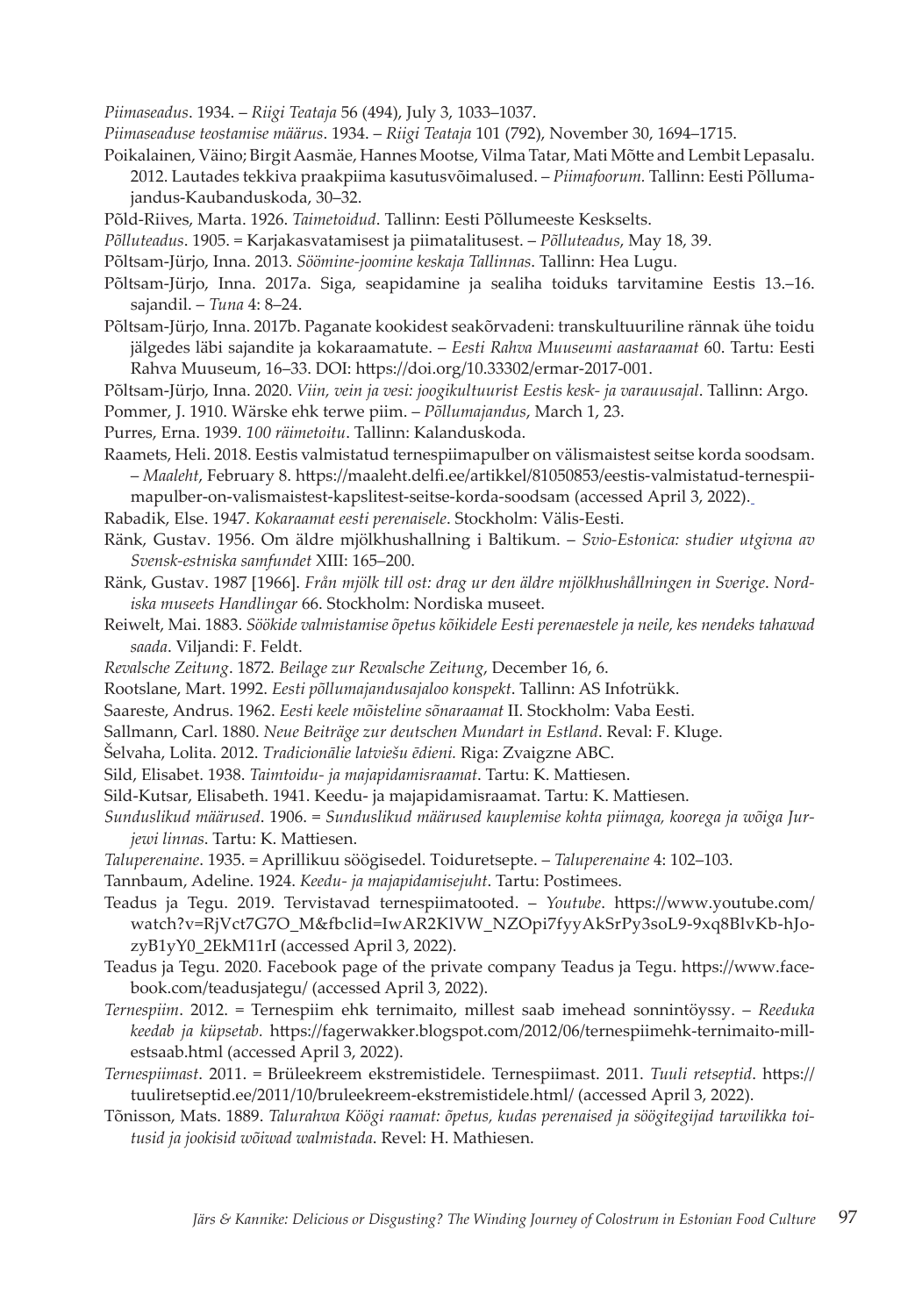*Piimaseadus*. 1934. – *Riigi Teataja* 56 (494), July 3, 1033–1037.

*Piimaseaduse teostamise määrus*. 1934. – *Riigi Teataja* 101 (792), November 30, 1694–1715.

Poikalainen, Väino; Birgit Aasmäe, Hannes Mootse, Vilma Tatar, Mati Mõtte and Lembit Lepasalu.

- 2012. Lautades tekkiva praakpiima kasutusvõimalused. *Piimafoorum.* Tallinn: Eesti Põllumajandus-Kaubanduskoda, 30–32.
- Põld-Riives, Marta. 1926. *Taimetoidud*. Tallinn: Eesti Põllumeeste Keskselts.
- *Põlluteadus*. 1905. = Karjakasvatamisest ja piimatalitusest. *Põlluteadus*, May 18, 39.
- Põltsam-Jürjo, Inna. 2013. *Söömine-joomine keskaja Tallinnas*. Tallinn: Hea Lugu.
- Põltsam-Jürjo, Inna. 2017a. Siga, seapidamine ja sealiha toiduks tarvitamine Eestis 13.–16. sajandil. – *Tuna* 4: 8–24.
- Põltsam-Jürjo, Inna. 2017b. Paganate kookidest seakõrvadeni: transkultuuriline rännak ühe toidu jälgedes läbi sajandite ja kokaraamatute. – *Eesti Rahva Muuseumi aastaraamat* 60. Tartu: Eesti Rahva Muuseum, 16–33. DOI: https://doi.org/10.33302/ermar-2017-001.
- Põltsam-Jürjo, Inna. 2020. *Viin, vein ja vesi: joogikultuurist Eestis kesk- ja varauusajal*. Tallinn: Argo. Pommer, J. 1910. Wärske ehk terwe piim. – *Põllumajandus*, March 1, 23.
- Purres, Erna. 1939. *100 räimetoitu*. Tallinn: Kalanduskoda.
- Raamets, Heli. 2018. Eestis valmistatud ternespiimapulber on välismaistest seitse korda soodsam. – *Maaleht*, February 8. https://maaleht.delfi.ee/artikkel/81050853/eestis-valmistatud-ternespii-
- mapulber-on-valismaistest-kapslitest-seitse-korda-soodsam (accessed April 3, 2022).
- Rabadik, Else. 1947. *Kokaraamat eesti perenaisele*. Stockholm: Välis-Eesti.
- Ränk, Gustav. 1956. Om äldre mjölkhushallning i Baltikum. *Svio-Estonica: studier utgivna av Svensk-estniska samfundet* XIII: 165–200.
- Ränk, Gustav. 1987 [1966]. *Från mjölk till ost: drag ur den äldre mjölkhushållningen in Sverige*. *Nordiska museets Handlingar* 66. Stockholm: Nordiska museet.
- Reiwelt, Mai. 1883. *Söökide valmistamise õpetus kõikidele Eesti perenaestele ja neile, kes nendeks tahawad saada*. Viljandi: F. Feldt.
- *Revalsche Zeitung*. 1872*. Beilage zur Revalsche Zeitung*, December 16, 6.
- Rootslane, Mart. 1992. *Eesti põllumajandusajaloo konspekt*. Tallinn: AS Infotrükk.
- Saareste, Andrus. 1962. *Eesti keele mõisteline sõnaraamat* II. Stockholm: Vaba Eesti.
- Sallmann, Carl. 1880. *Neue Beiträge zur deutschen Mundart in Estland*. Reval: F. Kluge.
- Šelvaha, Lolita. 2012. *Tradicionālie latviešu ēdieni.* Riga: Zvaigzne ABC.
- Sild, Elisabet. 1938. *Taimtoidu- ja majapidamisraamat*. Tartu: K. Mattiesen.
- Sild-Kutsar, Elisabeth. 1941. Keedu- ja majapidamisraamat. Tartu: K. Mattiesen.
- *Sunduslikud määrused*. 1906. = *Sunduslikud määrused kauplemise kohta piimaga, koorega ja wõiga Jurjewi linnas*. Tartu: K. Mattiesen.
- *Taluperenaine*. 1935. = Aprillikuu söögisedel. Toiduretsepte. *Taluperenaine* 4: 102–103.
- Tannbaum, Adeline. 1924. *Keedu- ja majapidamisejuht*. Tartu: Postimees.
- Teadus ja Tegu. 2019. Tervistavad ternespiimatooted. *Youtube*. https://www.youtube.com/ watch?v=RjVct7G7O\_M&fbclid=IwAR2KlVW\_NZOpi7fyyAkSrPy3soL9-9xq8BlvKb-hJozyB1yY0\_2EkM11rI (accessed April 3, 2022).
- Teadus ja Tegu. 2020. Facebook page of the private company Teadus ja Tegu. https://www.facebook.com/teadusjategu/ (accessed April 3, 2022).
- *Ternespiim*. 2012. = Ternespiim ehk ternimaito, millest saab imehead sonnintöyssy. *Reeduka keedab ja küpsetab.* https://fagerwakker.blogspot.com/2012/06/ternespiimehk-ternimaito-millestsaab.html (accessed April 3, 2022).
- *Ternespiimast*. 2011. = Brüleekreem ekstremistidele. Ternespiimast. 2011. *Tuuli retseptid*. https:// tuuliretseptid.ee/2011/10/bruleekreem-ekstremistidele.html/ (accessed April 3, 2022).
- Tõnisson, Mats. 1889. *Talurahwa Köögi raamat: õpetus, kudas perenaised ja söögitegijad tarwilikka toitusid ja jookisid wõiwad walmistada*. Revel: H. Mathiesen.